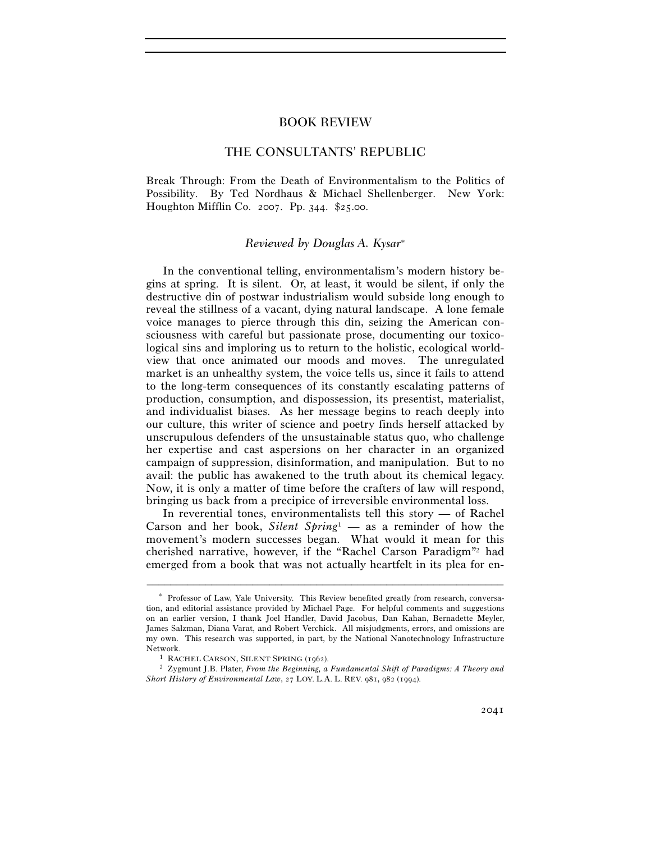# THE CONSULTANTS' REPUBLIC

Break Through: From the Death of Environmentalism to the Politics of Possibility. By Ted Nordhaus & Michael Shellenberger. New York: Houghton Mifflin Co. 2007. Pp. 344. \$25.00.

## *Reviewed by Douglas A. Kysar*<sup>∗</sup>

In the conventional telling, environmentalism's modern history begins at spring. It is silent. Or, at least, it would be silent, if only the destructive din of postwar industrialism would subside long enough to reveal the stillness of a vacant, dying natural landscape. A lone female voice manages to pierce through this din, seizing the American consciousness with careful but passionate prose, documenting our toxicological sins and imploring us to return to the holistic, ecological worldview that once animated our moods and moves. The unregulated market is an unhealthy system, the voice tells us, since it fails to attend to the long-term consequences of its constantly escalating patterns of production, consumption, and dispossession, its presentist, materialist, and individualist biases. As her message begins to reach deeply into our culture, this writer of science and poetry finds herself attacked by unscrupulous defenders of the unsustainable status quo, who challenge her expertise and cast aspersions on her character in an organized campaign of suppression, disinformation, and manipulation. But to no avail: the public has awakened to the truth about its chemical legacy. Now, it is only a matter of time before the crafters of law will respond, bringing us back from a precipice of irreversible environmental loss.

In reverential tones, environmentalists tell this story — of Rachel Carson and her book, *Silent Spring*1 — as a reminder of how the movement's modern successes began. What would it mean for this cherished narrative, however, if the "Rachel Carson Paradigm"2 had emerged from a book that was not actually heartfelt in its plea for en-

<sup>∗</sup> Professor of Law, Yale University. This Review benefited greatly from research, conversation, and editorial assistance provided by Michael Page. For helpful comments and suggestions on an earlier version, I thank Joel Handler, David Jacobus, Dan Kahan, Bernadette Meyler, James Salzman, Diana Varat, and Robert Verchick. All misjudgments, errors, and omissions are my own. This research was supported, in part, by the National Nanotechnology Infrastructure Network. 1 RACHEL CARSON, SILENT SPRING (1962). 2 Zygmunt J.B. Plater, *From the Beginning, a Fundamental Shift of Paradigms: A Theory and* 

*Short History of Environmental Law*, 27 LOY. L.A. L. REV. 981, 982 (1994).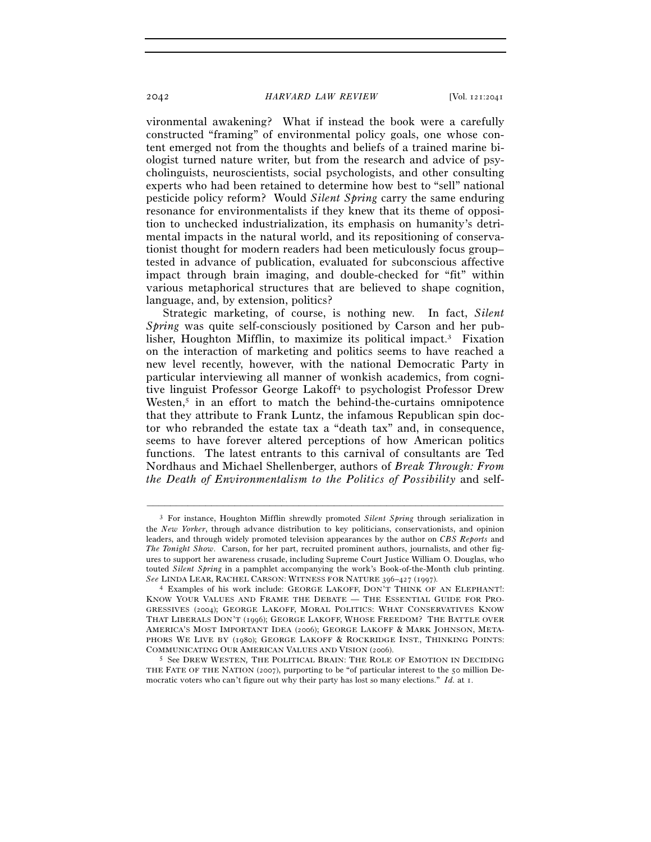vironmental awakening? What if instead the book were a carefully constructed "framing" of environmental policy goals, one whose content emerged not from the thoughts and beliefs of a trained marine biologist turned nature writer, but from the research and advice of psycholinguists, neuroscientists, social psychologists, and other consulting experts who had been retained to determine how best to "sell" national pesticide policy reform? Would *Silent Spring* carry the same enduring resonance for environmentalists if they knew that its theme of opposition to unchecked industrialization, its emphasis on humanity's detrimental impacts in the natural world, and its repositioning of conservationist thought for modern readers had been meticulously focus group– tested in advance of publication, evaluated for subconscious affective impact through brain imaging, and double-checked for "fit" within various metaphorical structures that are believed to shape cognition, language, and, by extension, politics?

Strategic marketing, of course, is nothing new. In fact, *Silent Spring* was quite self-consciously positioned by Carson and her publisher, Houghton Mifflin, to maximize its political impact.3 Fixation on the interaction of marketing and politics seems to have reached a new level recently, however, with the national Democratic Party in particular interviewing all manner of wonkish academics, from cognitive linguist Professor George Lakoff4 to psychologist Professor Drew Westen, $5$  in an effort to match the behind-the-curtains omnipotence that they attribute to Frank Luntz, the infamous Republican spin doctor who rebranded the estate tax a "death tax" and, in consequence, seems to have forever altered perceptions of how American politics functions. The latest entrants to this carnival of consultants are Ted Nordhaus and Michael Shellenberger, authors of *Break Through: From the Death of Environmentalism to the Politics of Possibility* and self-

<sup>3</sup> For instance, Houghton Mifflin shrewdly promoted *Silent Spring* through serialization in the *New Yorker*, through advance distribution to key politicians, conservationists, and opinion leaders, and through widely promoted television appearances by the author on *CBS Reports* and *The Tonight Show*. Carson, for her part, recruited prominent authors, journalists, and other figures to support her awareness crusade, including Supreme Court Justice William O. Douglas, who touted *Silent Spring* in a pamphlet accompanying the work's Book-of-the-Month club printing. *See* LINDA LEAR, RACHEL CARSON: WITNESS FOR NATURE <sup>396</sup>–427 (1997). 4 Examples of his work include: GEORGE LAKOFF, DON'T THINK OF AN ELEPHANT!:

KNOW YOUR VALUES AND FRAME THE DEBATE — THE ESSENTIAL GUIDE FOR PRO-GRESSIVES (2004); GEORGE LAKOFF, MORAL POLITICS: WHAT CONSERVATIVES KNOW THAT LIBERALS DON'T (1996); GEORGE LAKOFF, WHOSE FREEDOM? THE BATTLE OVER AMERICA'S MOST IMPORTANT IDEA (2006); GEORGE LAKOFF & MARK JOHNSON, META-PHORS WE LIVE BY (1980); GEORGE LAKOFF & ROCKRIDGE INST., THINKING POINTS: COMMUNICATING OUR AMERICAN VALUES AND VISION (2006). 5 See DREW WESTEN*,* THE POLITICAL BRAIN: THE ROLE OF EMOTION IN DECIDING

THE FATE OF THE NATION (2007), purporting to be "of particular interest to the 50 million Democratic voters who can't figure out why their party has lost so many elections." *Id.* at 1.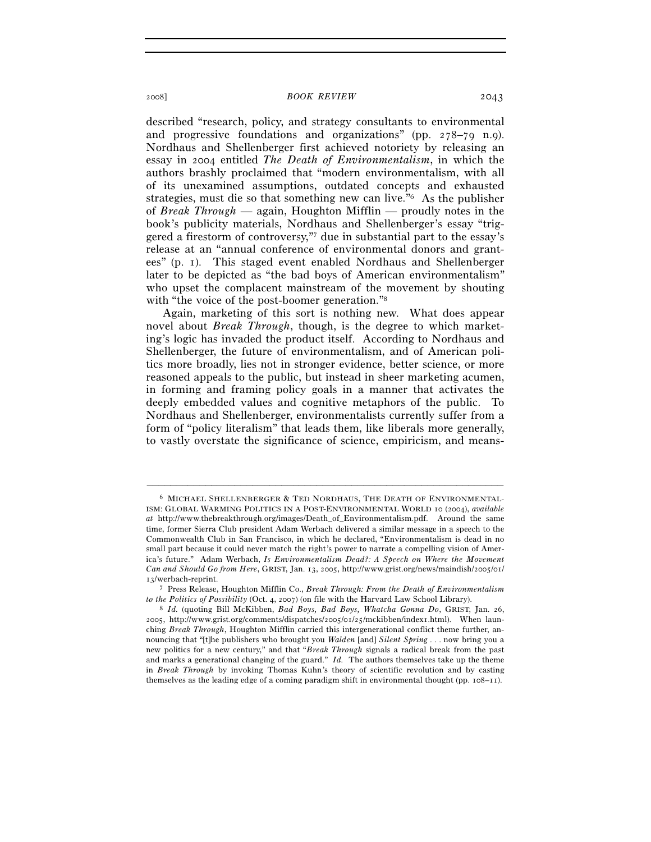described "research, policy, and strategy consultants to environmental and progressive foundations and organizations" (pp. 278–79 n.9). Nordhaus and Shellenberger first achieved notoriety by releasing an essay in 2004 entitled *The Death of Environmentalism*, in which the authors brashly proclaimed that "modern environmentalism, with all of its unexamined assumptions, outdated concepts and exhausted strategies, must die so that something new can live."6 As the publisher of *Break Through* — again, Houghton Mifflin — proudly notes in the book's publicity materials, Nordhaus and Shellenberger's essay "triggered a firestorm of controversy,"7 due in substantial part to the essay's release at an "annual conference of environmental donors and grantees" (p. 1). This staged event enabled Nordhaus and Shellenberger later to be depicted as "the bad boys of American environmentalism" who upset the complacent mainstream of the movement by shouting with "the voice of the post-boomer generation."<sup>8</sup>

Again, marketing of this sort is nothing new. What does appear novel about *Break Through*, though, is the degree to which marketing's logic has invaded the product itself. According to Nordhaus and Shellenberger, the future of environmentalism, and of American politics more broadly, lies not in stronger evidence, better science, or more reasoned appeals to the public, but instead in sheer marketing acumen, in forming and framing policy goals in a manner that activates the deeply embedded values and cognitive metaphors of the public. To Nordhaus and Shellenberger, environmentalists currently suffer from a form of "policy literalism" that leads them, like liberals more generally, to vastly overstate the significance of science, empiricism, and means-

<sup>6</sup> MICHAEL SHELLENBERGER & TED NORDHAUS, THE DEATH OF ENVIRONMENTAL-ISM: GLOBAL WARMING POLITICS IN A POST-ENVIRONMENTAL WORLD 10 (2004), *available at* http://www.thebreakthrough.org/images/Death\_of\_Environmentalism.pdf. Around the same time, former Sierra Club president Adam Werbach delivered a similar message in a speech to the Commonwealth Club in San Francisco, in which he declared, "Environmentalism is dead in no small part because it could never match the right's power to narrate a compelling vision of America's future." Adam Werbach, *Is Environmentalism Dead?: A Speech on Where the Movement Can and Should Go from Here*, GRIST, Jan. 13, 2005, http://www.grist.org/news/maindish/2005/01/ 13/werbach-reprint.

<sup>7</sup> Press Release, Houghton Mifflin Co., *Break Through: From the Death of Environmentalism to the Politics of Possibility* (Oct. 4, 2007) (on file with the Harvard Law School Library). 8 *Id.* (quoting Bill McKibben, *Bad Boys, Bad Boys, Whatcha Gonna Do*, GRIST, Jan. 26,

<sup>2005</sup>, http://www.grist.org/comments/dispatches/2005/01/25/mckibben/index1.html). When launching *Break Through*, Houghton Mifflin carried this intergenerational conflict theme further, announcing that "[t]he publishers who brought you *Walden* [and] *Silent Spring* . . . now bring you a new politics for a new century," and that "*Break Through* signals a radical break from the past and marks a generational changing of the guard." *Id.* The authors themselves take up the theme in *Break Through* by invoking Thomas Kuhn's theory of scientific revolution and by casting themselves as the leading edge of a coming paradigm shift in environmental thought (pp. 108–11).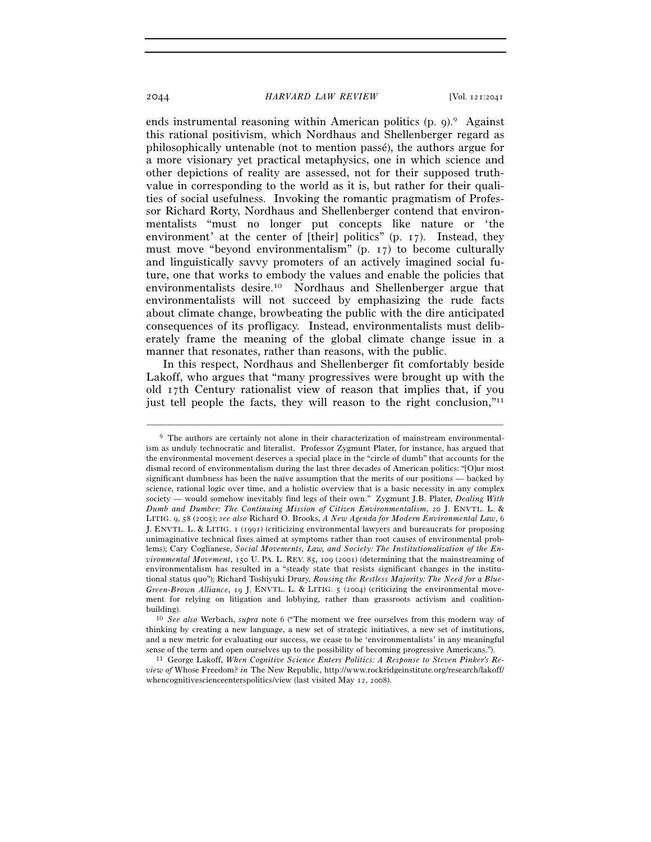ends instrumental reasoning within American politics  $(p, q)$ .<sup>9</sup> Against this rational positivism, which Nordhaus and Shellenberger regard as philosophically untenable (not to mention passé), the authors argue for a more visionary yet practical metaphysics, one in which science and other depictions of reality are assessed, not for their supposed truthvalue in corresponding to the world as it is, but rather for their qualities of social usefulness. Invoking the romantic pragmatism of Professor Richard Rorty, Nordhaus and Shellenberger contend that environmentalists "must no longer put concepts like nature or 'the environment' at the center of [their] politics" (p. 17). Instead, they must move "beyond environmentalism" (p. 17) to become culturally and linguistically savvy promoters of an actively imagined social future, one that works to embody the values and enable the policies that environmentalists desire.10 Nordhaus and Shellenberger argue that environmentalists will not succeed by emphasizing the rude facts about climate change, browbeating the public with the dire anticipated consequences of its profligacy. Instead, environmentalists must deliberately frame the meaning of the global climate change issue in a manner that resonates, rather than reasons, with the public.

In this respect, Nordhaus and Shellenberger fit comfortably beside Lakoff, who argues that "many progressives were brought up with the old 17th Century rationalist view of reason that implies that, if you just tell people the facts, they will reason to the right conclusion,"<sup>11</sup>

<sup>&</sup>lt;sup>9</sup> The authors are certainly not alone in their characterization of mainstream environmentalism as unduly technocratic and literalist. Professor Zygmunt Plater, for instance, has argued that the environmental movement deserves a special place in the "circle of dumb" that accounts for the dismal record of environmentalism during the last three decades of American politics: "[O]ur most significant dumbness has been the naïve assumption that the merits of our positions — backed by science, rational logic over time, and a holistic overview that is a basic necessity in any complex society — would somehow inevitably find legs of their own." Zygmunt J.B. Plater, *Dealing With Dumb and Dumber: The Continuing Mission of Citizen Environmentalism*, 20 J. ENVTL. L. & LITIG. 9, 58 (2005); *see also* Richard O. Brooks, *A New Agenda for Modern Environmental Law*, 6 J. ENVTL. L. & LITIG. 1 (1991) (criticizing environmental lawyers and bureaucrats for proposing unimaginative technical fixes aimed at symptoms rather than root causes of environmental problems); Cary Coglianese, *Social Movements, Law, and Society: The Institutionalization of the Environmental Movement*, 150 U. PA. L. REV. 85, 109 (2001) (determining that the mainstreaming of environmentalism has resulted in a "steady state that resists significant changes in the institutional status quo"); Richard Toshiyuki Drury, *Rousing the Restless Majority: The Need for a Blue-Green-Brown Alliance*, 19 J. ENVTL. L. & LITIG. 5 (2004) (criticizing the environmental movement for relying on litigation and lobbying, rather than grassroots activism and coalitionbuilding). 10 *See also* Werbach, *supra* note 6 ("The moment we free ourselves from this modern way of

thinking by creating a new language, a new set of strategic initiatives, a new set of institutions, and a new metric for evaluating our success, we cease to be 'environmentalists' in any meaningful sense of the term and open ourselves up to the possibility of becoming progressive Americans."). 11 George Lakoff, *When Cognitive Science Enters Politics: A Response to Steven Pinker's Re-*

*view of* Whose Freedom? *in* The New Republic, http://www.rockridgeinstitute.org/research/lakoff/ whencognitivescienceenterspolitics/view (last visited May 12, 2008).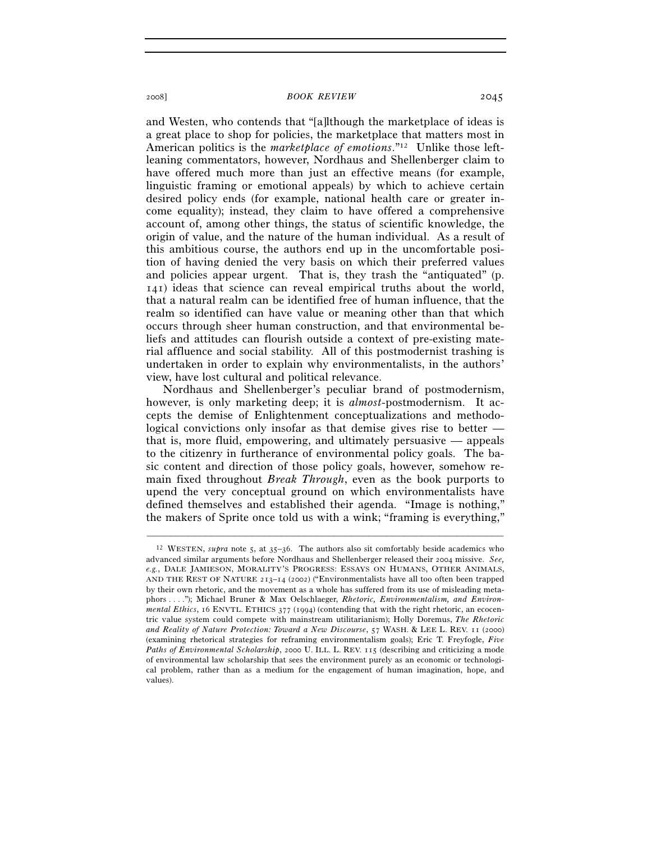and Westen, who contends that "[a]lthough the marketplace of ideas is a great place to shop for policies, the marketplace that matters most in American politics is the *marketplace of emotions*."12 Unlike those leftleaning commentators, however, Nordhaus and Shellenberger claim to have offered much more than just an effective means (for example, linguistic framing or emotional appeals) by which to achieve certain desired policy ends (for example, national health care or greater income equality); instead, they claim to have offered a comprehensive account of, among other things, the status of scientific knowledge, the origin of value, and the nature of the human individual. As a result of this ambitious course, the authors end up in the uncomfortable position of having denied the very basis on which their preferred values and policies appear urgent. That is, they trash the "antiquated" (p. 141) ideas that science can reveal empirical truths about the world, that a natural realm can be identified free of human influence, that the realm so identified can have value or meaning other than that which occurs through sheer human construction, and that environmental beliefs and attitudes can flourish outside a context of pre-existing material affluence and social stability. All of this postmodernist trashing is undertaken in order to explain why environmentalists, in the authors' view, have lost cultural and political relevance.

Nordhaus and Shellenberger's peculiar brand of postmodernism, however, is only marketing deep; it is *almost*-postmodernism. It accepts the demise of Enlightenment conceptualizations and methodological convictions only insofar as that demise gives rise to better that is, more fluid, empowering, and ultimately persuasive — appeals to the citizenry in furtherance of environmental policy goals. The basic content and direction of those policy goals, however, somehow remain fixed throughout *Break Through*, even as the book purports to upend the very conceptual ground on which environmentalists have defined themselves and established their agenda. "Image is nothing," the makers of Sprite once told us with a wink; "framing is everything,"

<sup>12</sup> WESTEN, *supra* note 5, at 35–36. The authors also sit comfortably beside academics who advanced similar arguments before Nordhaus and Shellenberger released their 2004 missive. *See, e.g.*, DALE JAMIESON, MORALITY'S PROGRESS: ESSAYS ON HUMANS, OTHER ANIMALS, AND THE REST OF NATURE 213–14 (2002) ("Environmentalists have all too often been trapped by their own rhetoric, and the movement as a whole has suffered from its use of misleading metaphors . . . ."); Michael Bruner & Max Oelschlaeger, *Rhetoric, Environmentalism, and Environmental Ethics*, 16 ENVTL. ETHICS 377 (1994) (contending that with the right rhetoric, an ecocentric value system could compete with mainstream utilitarianism); Holly Doremus, *The Rhetoric and Reality of Nature Protection: Toward a New Discourse*, 57 WASH. & LEE L. REV. 11 (2000) (examining rhetorical strategies for reframing environmentalism goals); Eric T. Freyfogle, *Five Paths of Environmental Scholarship*, 2000 U. ILL. L. REV. 115 (describing and criticizing a mode of environmental law scholarship that sees the environment purely as an economic or technological problem, rather than as a medium for the engagement of human imagination, hope, and values).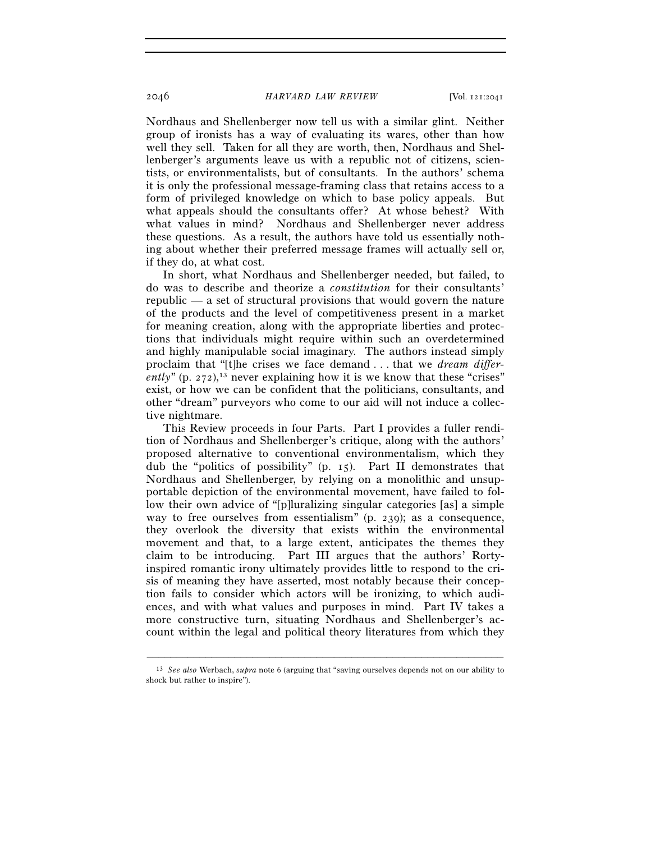Nordhaus and Shellenberger now tell us with a similar glint. Neither group of ironists has a way of evaluating its wares, other than how well they sell. Taken for all they are worth, then, Nordhaus and Shellenberger's arguments leave us with a republic not of citizens, scientists, or environmentalists, but of consultants. In the authors' schema it is only the professional message-framing class that retains access to a form of privileged knowledge on which to base policy appeals. But what appeals should the consultants offer? At whose behest? With what values in mind? Nordhaus and Shellenberger never address these questions. As a result, the authors have told us essentially nothing about whether their preferred message frames will actually sell or, if they do, at what cost.

In short, what Nordhaus and Shellenberger needed, but failed, to do was to describe and theorize a *constitution* for their consultants' republic — a set of structural provisions that would govern the nature of the products and the level of competitiveness present in a market for meaning creation, along with the appropriate liberties and protections that individuals might require within such an overdetermined and highly manipulable social imaginary. The authors instead simply proclaim that "[t]he crises we face demand . . . that we *dream differently*" (p. 272),<sup>13</sup> never explaining how it is we know that these "crises" exist, or how we can be confident that the politicians, consultants, and other "dream" purveyors who come to our aid will not induce a collective nightmare.

This Review proceeds in four Parts. Part I provides a fuller rendition of Nordhaus and Shellenberger's critique, along with the authors' proposed alternative to conventional environmentalism, which they dub the "politics of possibility" (p. 15). Part II demonstrates that Nordhaus and Shellenberger, by relying on a monolithic and unsupportable depiction of the environmental movement, have failed to follow their own advice of "[p]luralizing singular categories [as] a simple way to free ourselves from essentialism" (p. 239); as a consequence, they overlook the diversity that exists within the environmental movement and that, to a large extent, anticipates the themes they claim to be introducing. Part III argues that the authors' Rortyinspired romantic irony ultimately provides little to respond to the crisis of meaning they have asserted, most notably because their conception fails to consider which actors will be ironizing, to which audiences, and with what values and purposes in mind. Part IV takes a more constructive turn, situating Nordhaus and Shellenberger's account within the legal and political theory literatures from which they

<sup>–––––––––––––––––––––––––––––––––––––––––––––––––––––––––––––</sup> 13 *See also* Werbach, *supra* note 6 (arguing that "saving ourselves depends not on our ability to shock but rather to inspire").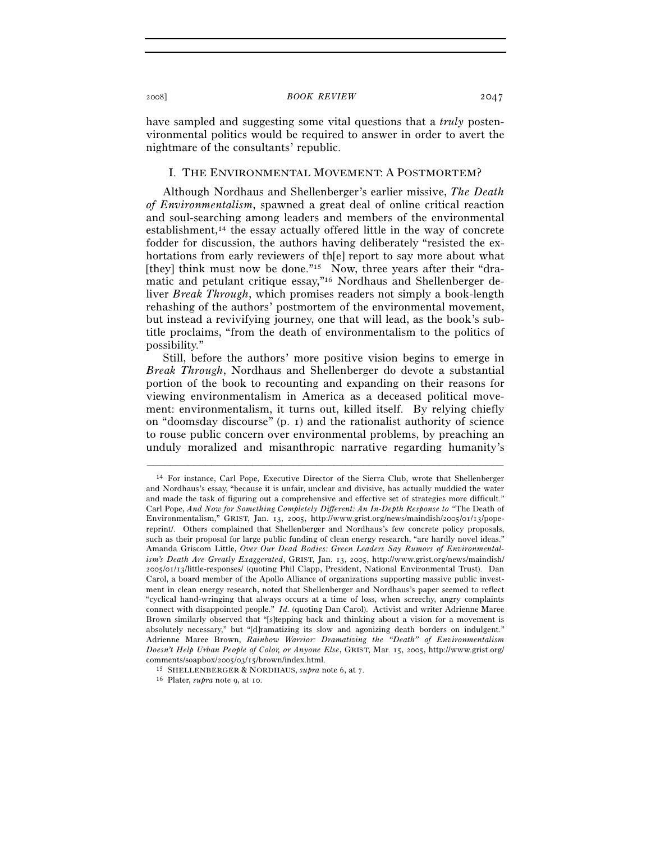have sampled and suggesting some vital questions that a *truly* postenvironmental politics would be required to answer in order to avert the nightmare of the consultants' republic.

## I. THE ENVIRONMENTAL MOVEMENT: A POSTMORTEM?

Although Nordhaus and Shellenberger's earlier missive, *The Death of Environmentalism*, spawned a great deal of online critical reaction and soul-searching among leaders and members of the environmental establishment,14 the essay actually offered little in the way of concrete fodder for discussion, the authors having deliberately "resisted the exhortations from early reviewers of th[e] report to say more about what [they] think must now be done."<sup>15</sup> Now, three years after their "dramatic and petulant critique essay,"16 Nordhaus and Shellenberger deliver *Break Through*, which promises readers not simply a book-length rehashing of the authors' postmortem of the environmental movement, but instead a revivifying journey, one that will lead, as the book's subtitle proclaims, "from the death of environmentalism to the politics of possibility."

Still, before the authors' more positive vision begins to emerge in *Break Through*, Nordhaus and Shellenberger do devote a substantial portion of the book to recounting and expanding on their reasons for viewing environmentalism in America as a deceased political movement: environmentalism, it turns out, killed itself. By relying chiefly on "doomsday discourse" (p. 1) and the rationalist authority of science to rouse public concern over environmental problems, by preaching an unduly moralized and misanthropic narrative regarding humanity's

<sup>14</sup> For instance, Carl Pope, Executive Director of the Sierra Club, wrote that Shellenberger and Nordhaus's essay, "because it is unfair, unclear and divisive, has actually muddied the water and made the task of figuring out a comprehensive and effective set of strategies more difficult." Carl Pope, *And Now for Something Completely Different: An In-Depth Response to "*The Death of Environmentalism," GRIST, Jan. 13, 2005, http://www.grist.org/news/maindish/2005/01/13/popereprint/. Others complained that Shellenberger and Nordhaus's few concrete policy proposals, such as their proposal for large public funding of clean energy research, "are hardly novel ideas." Amanda Griscom Little, *Over Our Dead Bodies: Green Leaders Say Rumors of Environmentalism's Death Are Greatly Exaggerated*, GRIST, Jan. 13, 2005, http://www.grist.org/news/maindish/ 2005/01/13/little-responses/ (quoting Phil Clapp, President, National Environmental Trust). Dan Carol, a board member of the Apollo Alliance of organizations supporting massive public investment in clean energy research, noted that Shellenberger and Nordhaus's paper seemed to reflect "cyclical hand-wringing that always occurs at a time of loss, when screechy, angry complaints connect with disappointed people." *Id.* (quoting Dan Carol). Activist and writer Adrienne Maree Brown similarly observed that "[s]tepping back and thinking about a vision for a movement is absolutely necessary," but "[d]ramatizing its slow and agonizing death borders on indulgent." Adrienne Maree Brown, *Rainbow Warrior: Dramatizing the "Death" of Environmentalism Doesn't Help Urban People of Color, or Anyone Else*, GRIST, Mar. 15, 2005, http://www.grist.org/

<sup>&</sup>lt;sup>15</sup> SHELLENBERGER & NORDHAUS, *supra* note 6, at 7. <sup>16</sup> Plater, *supra* note 9, at 10.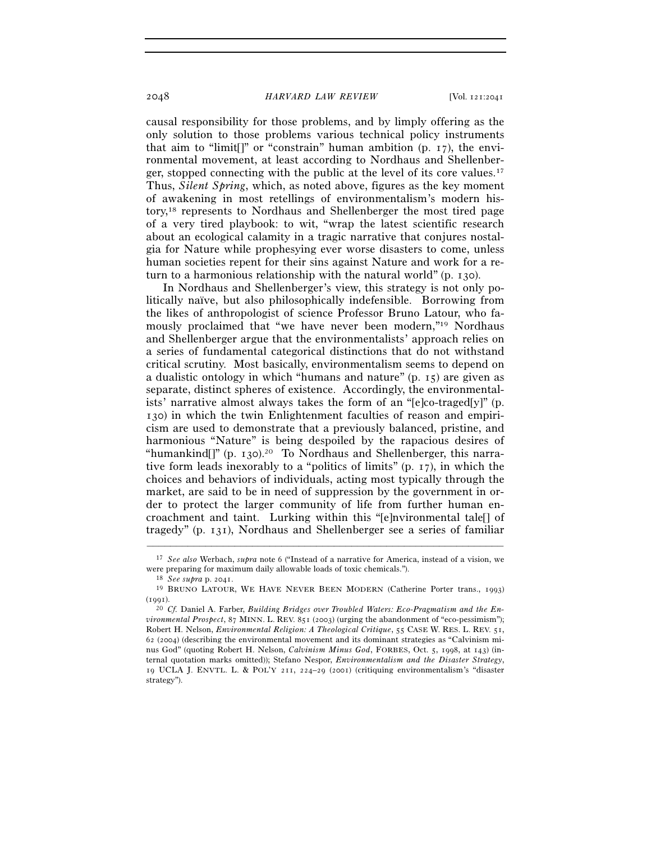causal responsibility for those problems, and by limply offering as the only solution to those problems various technical policy instruments that aim to "limit[]" or "constrain" human ambition (p. 17), the environmental movement, at least according to Nordhaus and Shellenberger, stopped connecting with the public at the level of its core values.17 Thus, *Silent Spring*, which, as noted above, figures as the key moment of awakening in most retellings of environmentalism's modern history,18 represents to Nordhaus and Shellenberger the most tired page of a very tired playbook: to wit, "wrap the latest scientific research about an ecological calamity in a tragic narrative that conjures nostalgia for Nature while prophesying ever worse disasters to come, unless human societies repent for their sins against Nature and work for a return to a harmonious relationship with the natural world" (p. 130).

In Nordhaus and Shellenberger's view, this strategy is not only politically naïve, but also philosophically indefensible. Borrowing from the likes of anthropologist of science Professor Bruno Latour, who famously proclaimed that "we have never been modern,"19 Nordhaus and Shellenberger argue that the environmentalists' approach relies on a series of fundamental categorical distinctions that do not withstand critical scrutiny. Most basically, environmentalism seems to depend on a dualistic ontology in which "humans and nature" (p. 15) are given as separate, distinct spheres of existence. Accordingly, the environmentalists' narrative almost always takes the form of an "[e]co-traged[y]" (p. 130) in which the twin Enlightenment faculties of reason and empiricism are used to demonstrate that a previously balanced, pristine, and harmonious "Nature" is being despoiled by the rapacious desires of "humankind $\int$ " (p. 130).<sup>20</sup> To Nordhaus and Shellenberger, this narrative form leads inexorably to a "politics of limits" (p. 17), in which the choices and behaviors of individuals, acting most typically through the market, are said to be in need of suppression by the government in order to protect the larger community of life from further human encroachment and taint. Lurking within this "[e]nvironmental tale[] of tragedy" (p. 131), Nordhaus and Shellenberger see a series of familiar

<sup>–––––––––––––––––––––––––––––––––––––––––––––––––––––––––––––</sup> 17 *See also* Werbach, *supra* note 6 ("Instead of a narrative for America, instead of a vision, we were preparing for maximum daily allowable loads of toxic chemicals.").<br><sup>18</sup> *See supra* p. 2041.<br><sup>19</sup> BRUNO LATOUR, WE HAVE NEVER BEEN MODERN (Catherine Porter trans., 1993)

<sup>(</sup>1991). 20 *Cf.* Daniel A. Farber, *Building Bridges over Troubled Waters: Eco-Pragmatism and the En-*

*vironmental Prospect*, 87 MINN. L. REV. 851 (2003) (urging the abandonment of "eco-pessimism"); Robert H. Nelson, *Environmental Religion: A Theological Critique*, 55 CASE W. RES. L. REV. 51, 62 (2004) (describing the environmental movement and its dominant strategies as "Calvinism minus God" (quoting Robert H. Nelson, *Calvinism Minus God*, FORBES, Oct. 5, 1998, at 143) (internal quotation marks omitted)); Stefano Nespor, *Environmentalism and the Disaster Strategy*, 19 UCLA J. ENVTL. L. & POL'Y 211, 224–29 (2001) (critiquing environmentalism's "disaster strategy").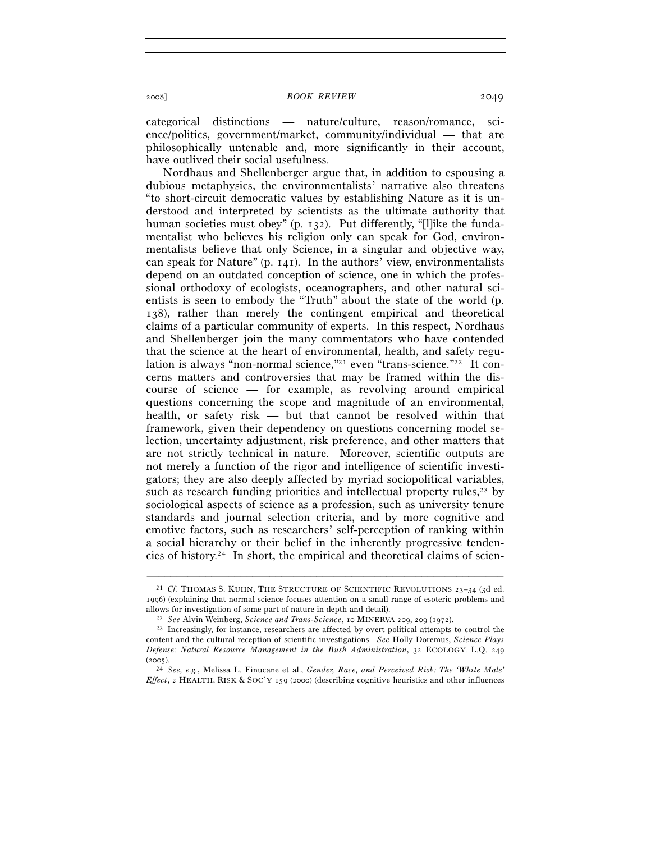categorical distinctions — nature/culture, reason/romance, science/politics, government/market, community/individual — that are philosophically untenable and, more significantly in their account, have outlived their social usefulness.

Nordhaus and Shellenberger argue that, in addition to espousing a dubious metaphysics, the environmentalists' narrative also threatens "to short-circuit democratic values by establishing Nature as it is understood and interpreted by scientists as the ultimate authority that human societies must obey" (p. 132). Put differently, "[l]ike the fundamentalist who believes his religion only can speak for God, environmentalists believe that only Science, in a singular and objective way, can speak for Nature" (p. 141). In the authors' view, environmentalists depend on an outdated conception of science, one in which the professional orthodoxy of ecologists, oceanographers, and other natural scientists is seen to embody the "Truth" about the state of the world (p. 138), rather than merely the contingent empirical and theoretical claims of a particular community of experts. In this respect, Nordhaus and Shellenberger join the many commentators who have contended that the science at the heart of environmental, health, and safety regulation is always "non-normal science,"21 even "trans-science."22 It concerns matters and controversies that may be framed within the discourse of science — for example, as revolving around empirical questions concerning the scope and magnitude of an environmental, health, or safety risk — but that cannot be resolved within that framework, given their dependency on questions concerning model selection, uncertainty adjustment, risk preference, and other matters that are not strictly technical in nature. Moreover, scientific outputs are not merely a function of the rigor and intelligence of scientific investigators; they are also deeply affected by myriad sociopolitical variables, such as research funding priorities and intellectual property rules, $23$  by sociological aspects of science as a profession, such as university tenure standards and journal selection criteria, and by more cognitive and emotive factors, such as researchers' self-perception of ranking within a social hierarchy or their belief in the inherently progressive tendencies of history.24 In short, the empirical and theoretical claims of scien-

<sup>21</sup> *Cf.* THOMAS S. KUHN, THE STRUCTURE OF SCIENTIFIC REVOLUTIONS 23–34 (3d ed. 1996) (explaining that normal science focuses attention on a small range of esoteric problems and

<sup>&</sup>lt;sup>22</sup> See Alvin Weinberg, Science and Trans-Science, 10 MINERVA 209, 209 (1972).<br><sup>23</sup> Increasingly, for instance, researchers are affected by overt political attempts to control the content and the cultural reception of scientific investigations. *See* Holly Doremus, *Science Plays Defense: Natural Resource Management in the Bush Administration*, 32 ECOLOGY. L.Q. 249 (2005). 24 *See, e.g.*, Melissa L. Finucane et al., *Gender, Race, and Perceived Risk: The 'White Male'* 

*Effect*, 2 HEALTH, RISK & SOC'Y 159 (2000) (describing cognitive heuristics and other influences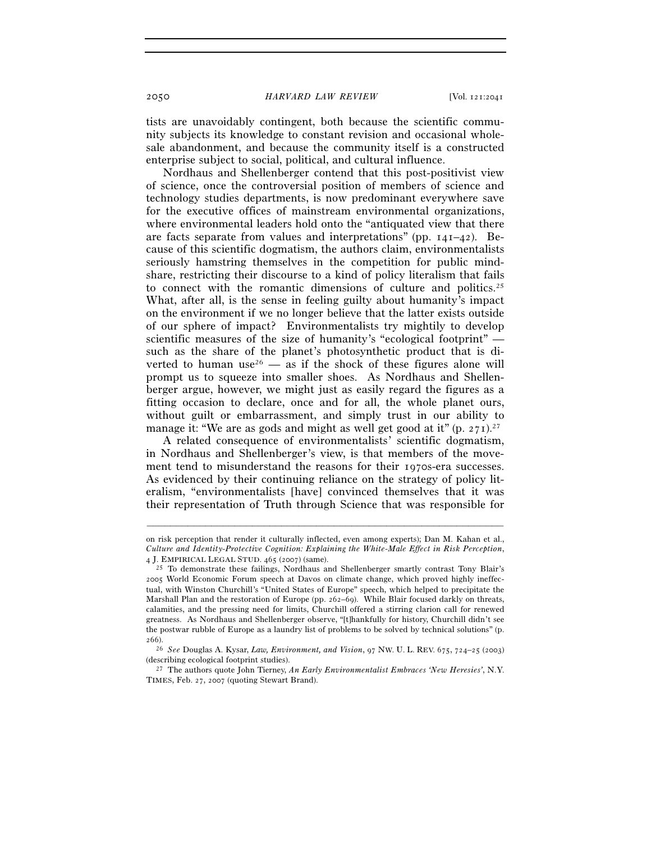tists are unavoidably contingent, both because the scientific community subjects its knowledge to constant revision and occasional wholesale abandonment, and because the community itself is a constructed enterprise subject to social, political, and cultural influence.

Nordhaus and Shellenberger contend that this post-positivist view of science, once the controversial position of members of science and technology studies departments, is now predominant everywhere save for the executive offices of mainstream environmental organizations, where environmental leaders hold onto the "antiquated view that there are facts separate from values and interpretations" (pp. 141–42). Because of this scientific dogmatism, the authors claim, environmentalists seriously hamstring themselves in the competition for public mindshare, restricting their discourse to a kind of policy literalism that fails to connect with the romantic dimensions of culture and politics.<sup>25</sup> What, after all, is the sense in feeling guilty about humanity's impact on the environment if we no longer believe that the latter exists outside of our sphere of impact? Environmentalists try mightily to develop scientific measures of the size of humanity's "ecological footprint" such as the share of the planet's photosynthetic product that is diverted to human use<sup>26</sup> — as if the shock of these figures alone will prompt us to squeeze into smaller shoes. As Nordhaus and Shellenberger argue, however, we might just as easily regard the figures as a fitting occasion to declare, once and for all, the whole planet ours, without guilt or embarrassment, and simply trust in our ability to manage it: "We are as gods and might as well get good at it"  $(p, 271)$ .<sup>27</sup>

A related consequence of environmentalists' scientific dogmatism, in Nordhaus and Shellenberger's view, is that members of the movement tend to misunderstand the reasons for their 1970s-era successes. As evidenced by their continuing reliance on the strategy of policy literalism, "environmentalists [have] convinced themselves that it was their representation of Truth through Science that was responsible for

on risk perception that render it culturally inflected, even among experts); Dan M. Kahan et al., *Culture and Identity-Protective Cognition: Explaining the White-Male Effect in Risk Perception*,

 $^{25}$  To demonstrate these failings, Nordhaus and Shellenberger smartly contrast Tony Blair's 2005 World Economic Forum speech at Davos on climate change, which proved highly ineffectual, with Winston Churchill's "United States of Europe" speech, which helped to precipitate the Marshall Plan and the restoration of Europe (pp. 262–69). While Blair focused darkly on threats, calamities, and the pressing need for limits, Churchill offered a stirring clarion call for renewed greatness. As Nordhaus and Shellenberger observe, "[t]hankfully for history, Churchill didn't see the postwar rubble of Europe as a laundry list of problems to be solved by technical solutions" (p. 266).

<sup>26</sup> *See* Douglas A. Kysar, *Law, Environment, and Vision*, 97 NW. U. L. REV. 675, 724–25 (2003)

<sup>&</sup>lt;sup>27</sup> The authors quote John Tierney, *An Early Environmentalist Embraces 'New Heresies'*, N.Y. TIMES, Feb. 27, 2007 (quoting Stewart Brand).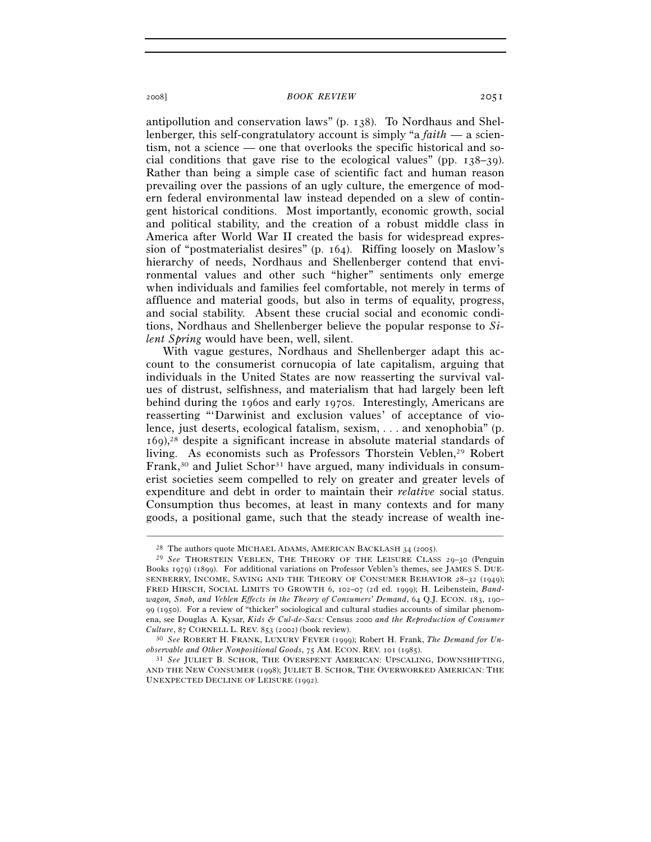antipollution and conservation laws" (p. 138). To Nordhaus and Shellenberger, this self-congratulatory account is simply "a *faith* — a scientism, not a science — one that overlooks the specific historical and social conditions that gave rise to the ecological values" (pp.  $138-39$ ). Rather than being a simple case of scientific fact and human reason prevailing over the passions of an ugly culture, the emergence of modern federal environmental law instead depended on a slew of contingent historical conditions. Most importantly, economic growth, social and political stability, and the creation of a robust middle class in America after World War II created the basis for widespread expression of "postmaterialist desires" (p. 164). Riffing loosely on Maslow's hierarchy of needs, Nordhaus and Shellenberger contend that environmental values and other such "higher" sentiments only emerge when individuals and families feel comfortable, not merely in terms of affluence and material goods, but also in terms of equality, progress, and social stability. Absent these crucial social and economic conditions, Nordhaus and Shellenberger believe the popular response to *Silent Spring* would have been, well, silent.

With vague gestures, Nordhaus and Shellenberger adapt this account to the consumerist cornucopia of late capitalism, arguing that individuals in the United States are now reasserting the survival values of distrust, selfishness, and materialism that had largely been left behind during the 1960s and early 1970s. Interestingly, Americans are reasserting "'Darwinist and exclusion values' of acceptance of violence, just deserts, ecological fatalism, sexism, . . . and xenophobia" (p. 169),28 despite a significant increase in absolute material standards of living. As economists such as Professors Thorstein Veblen,<sup>29</sup> Robert Frank,<sup>30</sup> and Juliet Schor<sup>31</sup> have argued, many individuals in consumerist societies seem compelled to rely on greater and greater levels of expenditure and debt in order to maintain their *relative* social status. Consumption thus becomes, at least in many contexts and for many goods, a positional game, such that the steady increase of wealth ine-

<sup>&</sup>lt;sup>28</sup> The authors quote MICHAEL ADAMS, AMERICAN BACKLASH 34 (2005).<br><sup>29</sup> *See* THORSTEIN VEBLEN, THE THEORY OF THE LEISURE CLASS 29–30 (Penguin Books 1979) (1899). For additional variations on Professor Veblen's themes, see JAMES S. DUE-SENBERRY, INCOME, SAVING AND THE THEORY OF CONSUMER BEHAVIOR 28–32 (1949); FRED HIRSCH, SOCIAL LIMITS TO GROWTH 6, 102–07 (2d ed. 1999); H. Leibenstein, *Bandwagon, Snob, and Veblen Effects in the Theory of Consumers' Demand*, 64 Q.J. ECON. 183, 190– 99 (1950). For a review of "thicker" sociological and cultural studies accounts of similar phenomena, see Douglas A. Kysar, *Kids & Cul-de-Sacs:* Census 2000 *and the Reproduction of Consumer* 

<sup>&</sup>lt;sup>30</sup> See ROBERT H. FRANK, LUXURY FEVER (1999); Robert H. Frank, *The Demand for Unobservable and Other Nonpositional Goods*, 75 AM. ECON. REV. 101 (1985). 31 *See* JULIET B. SCHOR, THE OVERSPENT AMERICAN: UPSCALING, DOWNSHIFTING,

AND THE NEW CONSUMER (1998); JULIET B. SCHOR, THE OVERWORKED AMERICAN: THE UNEXPECTED DECLINE OF LEISURE (1992).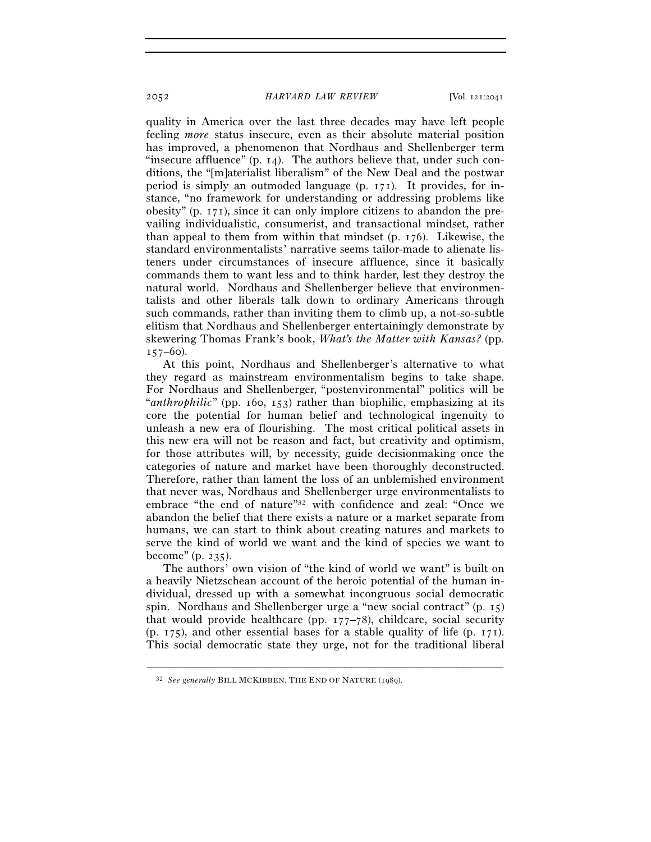quality in America over the last three decades may have left people feeling *more* status insecure, even as their absolute material position has improved, a phenomenon that Nordhaus and Shellenberger term "insecure affluence"  $(p, 14)$ . The authors believe that, under such conditions, the "[m]aterialist liberalism" of the New Deal and the postwar period is simply an outmoded language (p. 171). It provides, for instance, "no framework for understanding or addressing problems like obesity" (p. 171), since it can only implore citizens to abandon the prevailing individualistic, consumerist, and transactional mindset, rather than appeal to them from within that mindset (p. 176). Likewise, the standard environmentalists' narrative seems tailor-made to alienate listeners under circumstances of insecure affluence, since it basically commands them to want less and to think harder, lest they destroy the natural world. Nordhaus and Shellenberger believe that environmentalists and other liberals talk down to ordinary Americans through such commands, rather than inviting them to climb up, a not-so-subtle elitism that Nordhaus and Shellenberger entertainingly demonstrate by skewering Thomas Frank's book, *What's the Matter with Kansas?* (pp.  $157-60$ ).

At this point, Nordhaus and Shellenberger's alternative to what they regard as mainstream environmentalism begins to take shape. For Nordhaus and Shellenberger, "postenvironmental" politics will be "*anthrophilic*" (pp. 160, 153) rather than biophilic, emphasizing at its core the potential for human belief and technological ingenuity to unleash a new era of flourishing. The most critical political assets in this new era will not be reason and fact, but creativity and optimism, for those attributes will, by necessity, guide decisionmaking once the categories of nature and market have been thoroughly deconstructed. Therefore, rather than lament the loss of an unblemished environment that never was, Nordhaus and Shellenberger urge environmentalists to embrace "the end of nature"32 with confidence and zeal: "Once we abandon the belief that there exists a nature or a market separate from humans, we can start to think about creating natures and markets to serve the kind of world we want and the kind of species we want to become"  $(p. 235)$ .

The authors' own vision of "the kind of world we want" is built on a heavily Nietzschean account of the heroic potential of the human individual, dressed up with a somewhat incongruous social democratic spin. Nordhaus and Shellenberger urge a "new social contract" (p. 15) that would provide healthcare (pp.  $177-78$ ), childcare, social security (p. 175), and other essential bases for a stable quality of life (p. 171). This social democratic state they urge, not for the traditional liberal

<sup>32</sup> *See generally* BILL MCKIBBEN, THE END OF NATURE (1989).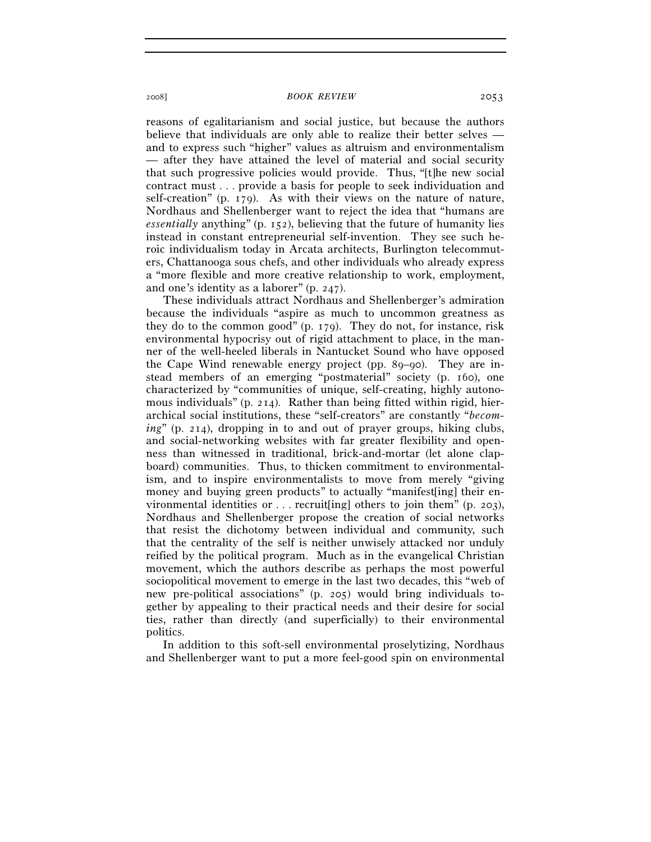reasons of egalitarianism and social justice, but because the authors believe that individuals are only able to realize their better selves and to express such "higher" values as altruism and environmentalism — after they have attained the level of material and social security that such progressive policies would provide. Thus, "[t]he new social contract must . . . provide a basis for people to seek individuation and self-creation" (p. 179). As with their views on the nature of nature, Nordhaus and Shellenberger want to reject the idea that "humans are *essentially* anything" (p. 152), believing that the future of humanity lies instead in constant entrepreneurial self-invention. They see such heroic individualism today in Arcata architects, Burlington telecommuters, Chattanooga sous chefs, and other individuals who already express a "more flexible and more creative relationship to work, employment, and one's identity as a laborer" (p. 247).

These individuals attract Nordhaus and Shellenberger's admiration because the individuals "aspire as much to uncommon greatness as they do to the common good" (p. 179). They do not, for instance, risk environmental hypocrisy out of rigid attachment to place, in the manner of the well-heeled liberals in Nantucket Sound who have opposed the Cape Wind renewable energy project (pp. 89–90). They are instead members of an emerging "postmaterial" society (p. 160), one characterized by "communities of unique, self-creating, highly autonomous individuals" (p. 214). Rather than being fitted within rigid, hierarchical social institutions, these "self-creators" are constantly "*becoming*" (p. 214), dropping in to and out of prayer groups, hiking clubs, and social-networking websites with far greater flexibility and openness than witnessed in traditional, brick-and-mortar (let alone clapboard) communities. Thus, to thicken commitment to environmentalism, and to inspire environmentalists to move from merely "giving money and buying green products" to actually "manifest[ing] their environmental identities or  $\dots$  recruit [ing] others to join them" (p. 203), Nordhaus and Shellenberger propose the creation of social networks that resist the dichotomy between individual and community, such that the centrality of the self is neither unwisely attacked nor unduly reified by the political program. Much as in the evangelical Christian movement, which the authors describe as perhaps the most powerful sociopolitical movement to emerge in the last two decades, this "web of new pre-political associations" (p. 205) would bring individuals together by appealing to their practical needs and their desire for social ties, rather than directly (and superficially) to their environmental politics.

In addition to this soft-sell environmental proselytizing, Nordhaus and Shellenberger want to put a more feel-good spin on environmental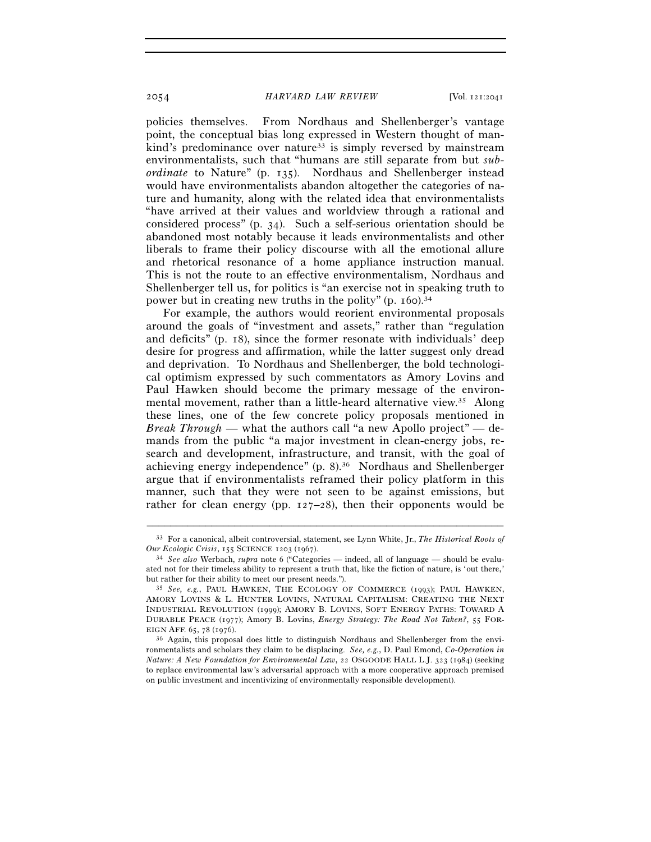policies themselves. From Nordhaus and Shellenberger's vantage point, the conceptual bias long expressed in Western thought of mankind's predominance over nature<sup>33</sup> is simply reversed by mainstream environmentalists, such that "humans are still separate from but *subordinate* to Nature" (p. 135). Nordhaus and Shellenberger instead would have environmentalists abandon altogether the categories of nature and humanity, along with the related idea that environmentalists "have arrived at their values and worldview through a rational and considered process" (p. 34). Such a self-serious orientation should be abandoned most notably because it leads environmentalists and other liberals to frame their policy discourse with all the emotional allure and rhetorical resonance of a home appliance instruction manual. This is not the route to an effective environmentalism, Nordhaus and Shellenberger tell us, for politics is "an exercise not in speaking truth to power but in creating new truths in the polity"  $(p, 160)^{34}$ 

For example, the authors would reorient environmental proposals around the goals of "investment and assets," rather than "regulation and deficits" (p. 18), since the former resonate with individuals' deep desire for progress and affirmation, while the latter suggest only dread and deprivation. To Nordhaus and Shellenberger, the bold technological optimism expressed by such commentators as Amory Lovins and Paul Hawken should become the primary message of the environmental movement, rather than a little-heard alternative view.35 Along these lines, one of the few concrete policy proposals mentioned in *Break Through* — what the authors call "a new Apollo project" — demands from the public "a major investment in clean-energy jobs, research and development, infrastructure, and transit, with the goal of achieving energy independence" (p. 8).36 Nordhaus and Shellenberger argue that if environmentalists reframed their policy platform in this manner, such that they were not seen to be against emissions, but rather for clean energy (pp.  $127-28$ ), then their opponents would be

<sup>–––––––––––––––––––––––––––––––––––––––––––––––––––––––––––––</sup> 33 For a canonical, albeit controversial, statement, see Lynn White, Jr., *The Historical Roots of Our Ecologic Crisis*, 155 SCIENCE <sup>1203</sup> (1967). 34 *See also* Werbach, *supra* note 6 ("Categories — indeed, all of language — should be evalu-

ated not for their timeless ability to represent a truth that, like the fiction of nature, is 'out there,' but rather for their ability to meet our present needs."). 35 *See, e.g.*, PAUL HAWKEN, THE ECOLOGY OF COMMERCE (1993); PAUL HAWKEN,

AMORY LOVINS & L. HUNTER LOVINS, NATURAL CAPITALISM: CREATING THE NEXT INDUSTRIAL REVOLUTION (1999); AMORY B. LOVINS, SOFT ENERGY PATHS: TOWARD A DURABLE PEACE (1977); Amory B. Lovins, *Energy Strategy: The Road Not Taken?*, 55 FOR-

<sup>&</sup>lt;sup>36</sup> Again, this proposal does little to distinguish Nordhaus and Shellenberger from the environmentalists and scholars they claim to be displacing. *See, e.g.*, D. Paul Emond, *Co-Operation in Nature: A New Foundation for Environmental Law*, 22 OSGOODE HALL L.J. 323 (1984) (seeking to replace environmental law's adversarial approach with a more cooperative approach premised on public investment and incentivizing of environmentally responsible development).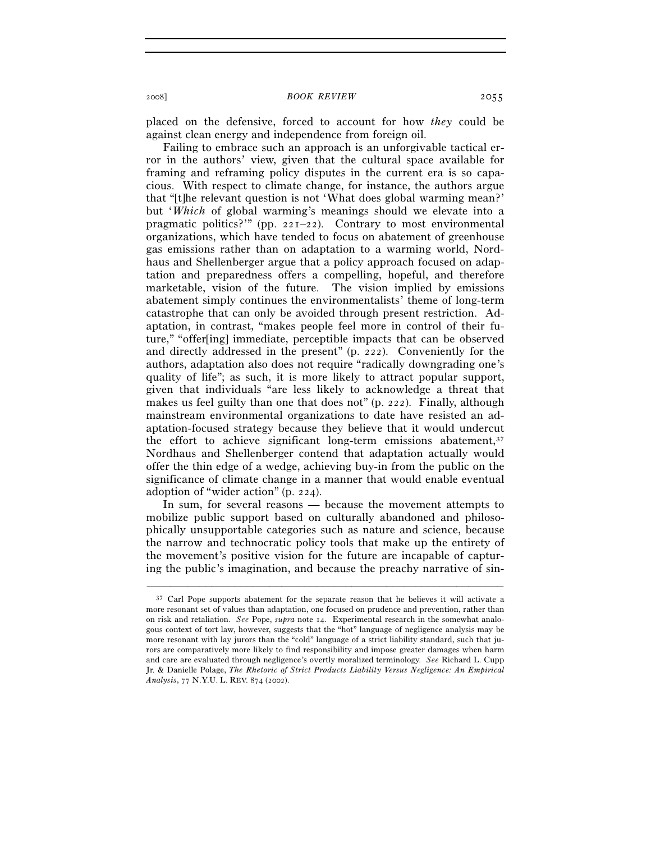placed on the defensive, forced to account for how *they* could be against clean energy and independence from foreign oil.

Failing to embrace such an approach is an unforgivable tactical error in the authors' view, given that the cultural space available for framing and reframing policy disputes in the current era is so capacious. With respect to climate change, for instance, the authors argue that "[t]he relevant question is not 'What does global warming mean?' but '*Which* of global warming's meanings should we elevate into a pragmatic politics?'" (pp. 221–22). Contrary to most environmental organizations, which have tended to focus on abatement of greenhouse gas emissions rather than on adaptation to a warming world, Nordhaus and Shellenberger argue that a policy approach focused on adaptation and preparedness offers a compelling, hopeful, and therefore marketable, vision of the future. The vision implied by emissions abatement simply continues the environmentalists' theme of long-term catastrophe that can only be avoided through present restriction. Adaptation, in contrast, "makes people feel more in control of their future," "offer[ing] immediate, perceptible impacts that can be observed and directly addressed in the present" (p. 222). Conveniently for the authors, adaptation also does not require "radically downgrading one's quality of life"; as such, it is more likely to attract popular support, given that individuals "are less likely to acknowledge a threat that makes us feel guilty than one that does not" (p. 222). Finally, although mainstream environmental organizations to date have resisted an adaptation-focused strategy because they believe that it would undercut the effort to achieve significant long-term emissions abatement, $37$ Nordhaus and Shellenberger contend that adaptation actually would offer the thin edge of a wedge, achieving buy-in from the public on the significance of climate change in a manner that would enable eventual adoption of "wider action" (p. 224).

In sum, for several reasons — because the movement attempts to mobilize public support based on culturally abandoned and philosophically unsupportable categories such as nature and science, because the narrow and technocratic policy tools that make up the entirety of the movement's positive vision for the future are incapable of capturing the public's imagination, and because the preachy narrative of sin-

 $37$  Carl Pope supports abatement for the separate reason that he believes it will activate a more resonant set of values than adaptation, one focused on prudence and prevention, rather than on risk and retaliation. *See* Pope, *supra* note 14. Experimental research in the somewhat analogous context of tort law, however, suggests that the "hot" language of negligence analysis may be more resonant with lay jurors than the "cold" language of a strict liability standard, such that jurors are comparatively more likely to find responsibility and impose greater damages when harm and care are evaluated through negligence's overtly moralized terminology. *See* Richard L. Cupp Jr. & Danielle Polage, *The Rhetoric of Strict Products Liability Versus Negligence: An Empirical Analysis*, 77 N.Y.U. L. REV. 874 (2002).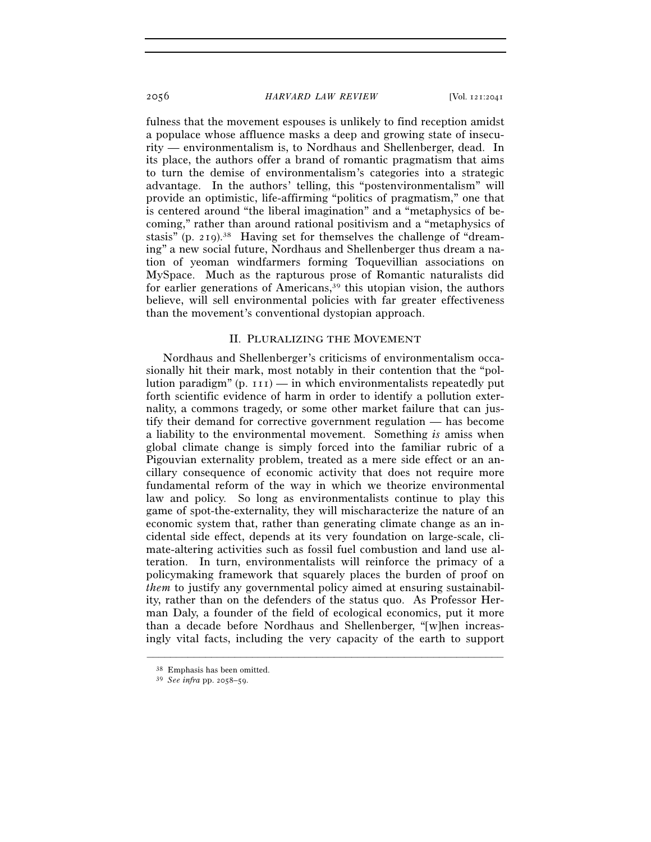fulness that the movement espouses is unlikely to find reception amidst a populace whose affluence masks a deep and growing state of insecurity — environmentalism is, to Nordhaus and Shellenberger, dead. In its place, the authors offer a brand of romantic pragmatism that aims to turn the demise of environmentalism's categories into a strategic advantage. In the authors' telling, this "postenvironmentalism" will provide an optimistic, life-affirming "politics of pragmatism," one that is centered around "the liberal imagination" and a "metaphysics of becoming," rather than around rational positivism and a "metaphysics of stasis" (p. 219).38 Having set for themselves the challenge of "dreaming" a new social future, Nordhaus and Shellenberger thus dream a nation of yeoman windfarmers forming Toquevillian associations on MySpace. Much as the rapturous prose of Romantic naturalists did for earlier generations of Americans,<sup>39</sup> this utopian vision, the authors believe, will sell environmental policies with far greater effectiveness than the movement's conventional dystopian approach.

## II. PLURALIZING THE MOVEMENT

Nordhaus and Shellenberger's criticisms of environmentalism occasionally hit their mark, most notably in their contention that the "pollution paradigm"  $(p. 111)$  — in which environmentalists repeatedly put forth scientific evidence of harm in order to identify a pollution externality, a commons tragedy, or some other market failure that can justify their demand for corrective government regulation — has become a liability to the environmental movement. Something *is* amiss when global climate change is simply forced into the familiar rubric of a Pigouvian externality problem, treated as a mere side effect or an ancillary consequence of economic activity that does not require more fundamental reform of the way in which we theorize environmental law and policy. So long as environmentalists continue to play this game of spot-the-externality, they will mischaracterize the nature of an economic system that, rather than generating climate change as an incidental side effect, depends at its very foundation on large-scale, climate-altering activities such as fossil fuel combustion and land use alteration. In turn, environmentalists will reinforce the primacy of a policymaking framework that squarely places the burden of proof on *them* to justify any governmental policy aimed at ensuring sustainability, rather than on the defenders of the status quo. As Professor Herman Daly, a founder of the field of ecological economics, put it more than a decade before Nordhaus and Shellenberger, "[w]hen increasingly vital facts, including the very capacity of the earth to support

<sup>38</sup> Emphasis has been omitted. 39 *See infra* pp. 2058–59.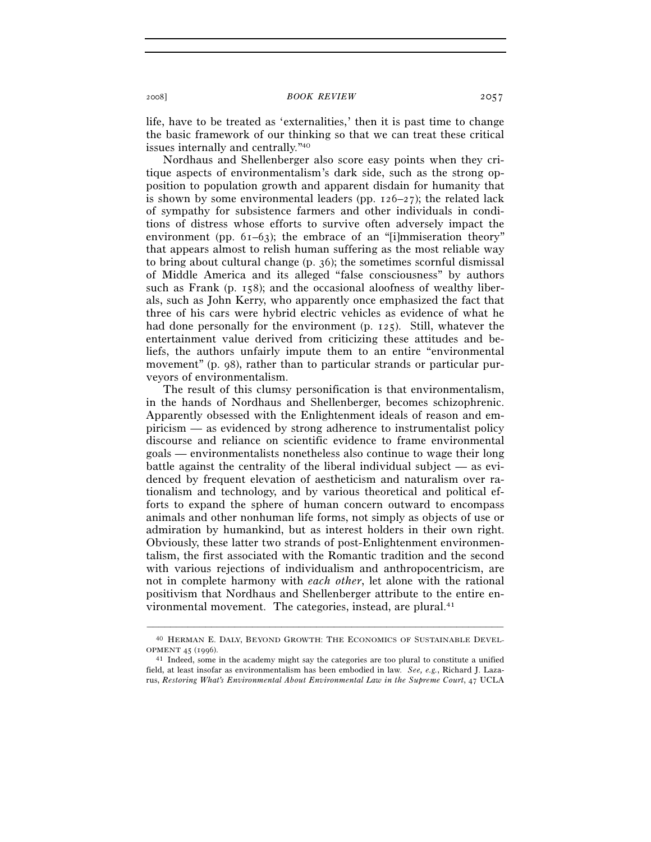life, have to be treated as 'externalities,' then it is past time to change the basic framework of our thinking so that we can treat these critical issues internally and centrally."40

Nordhaus and Shellenberger also score easy points when they critique aspects of environmentalism's dark side, such as the strong opposition to population growth and apparent disdain for humanity that is shown by some environmental leaders (pp.  $126-27$ ); the related lack of sympathy for subsistence farmers and other individuals in conditions of distress whose efforts to survive often adversely impact the environment (pp. 61–63); the embrace of an "[i]mmiseration theory" that appears almost to relish human suffering as the most reliable way to bring about cultural change (p. 36); the sometimes scornful dismissal of Middle America and its alleged "false consciousness" by authors such as Frank (p. 158); and the occasional aloofness of wealthy liberals, such as John Kerry, who apparently once emphasized the fact that three of his cars were hybrid electric vehicles as evidence of what he had done personally for the environment (p. 125). Still, whatever the entertainment value derived from criticizing these attitudes and beliefs, the authors unfairly impute them to an entire "environmental movement" (p. 98), rather than to particular strands or particular purveyors of environmentalism.

The result of this clumsy personification is that environmentalism, in the hands of Nordhaus and Shellenberger, becomes schizophrenic. Apparently obsessed with the Enlightenment ideals of reason and empiricism — as evidenced by strong adherence to instrumentalist policy discourse and reliance on scientific evidence to frame environmental goals — environmentalists nonetheless also continue to wage their long battle against the centrality of the liberal individual subject — as evidenced by frequent elevation of aestheticism and naturalism over rationalism and technology, and by various theoretical and political efforts to expand the sphere of human concern outward to encompass animals and other nonhuman life forms, not simply as objects of use or admiration by humankind, but as interest holders in their own right. Obviously, these latter two strands of post-Enlightenment environmentalism, the first associated with the Romantic tradition and the second with various rejections of individualism and anthropocentricism, are not in complete harmony with *each other*, let alone with the rational positivism that Nordhaus and Shellenberger attribute to the entire environmental movement. The categories, instead, are plural.<sup>41</sup>

<sup>–––––––––––––––––––––––––––––––––––––––––––––––––––––––––––––</sup> 40 HERMAN E. DALY, BEYOND GROWTH: THE ECONOMICS OF SUSTAINABLE DEVEL-

OPMENT 45 (1996).<br><sup>41</sup> Indeed, some in the academy might say the categories are too plural to constitute a unified field, at least insofar as environmentalism has been embodied in law. *See, e.g.*, Richard J. Lazarus, *Restoring What's Environmental About Environmental Law in the Supreme Court*, 47 UCLA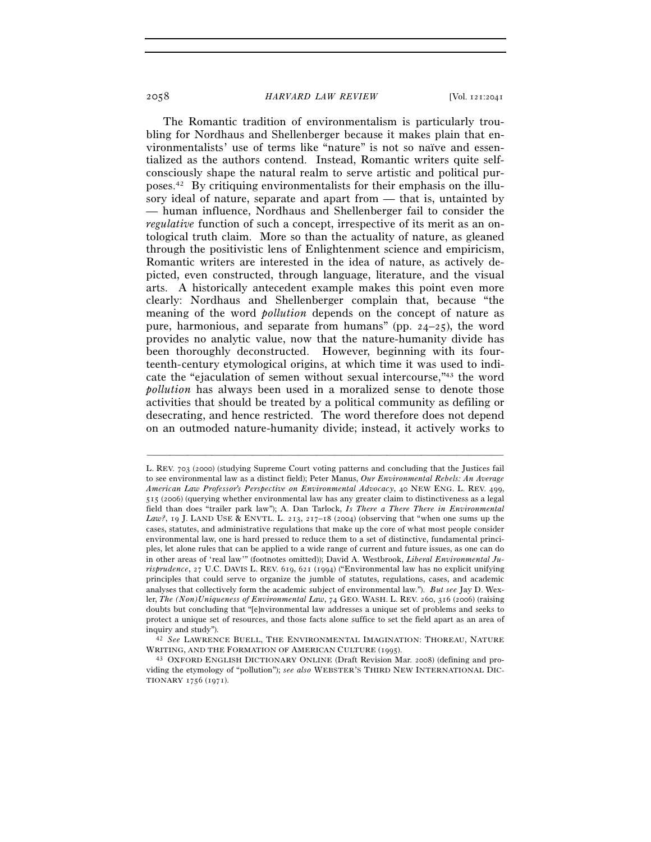The Romantic tradition of environmentalism is particularly troubling for Nordhaus and Shellenberger because it makes plain that environmentalists' use of terms like "nature" is not so naïve and essentialized as the authors contend. Instead, Romantic writers quite selfconsciously shape the natural realm to serve artistic and political purposes.42 By critiquing environmentalists for their emphasis on the illusory ideal of nature, separate and apart from — that is, untainted by — human influence, Nordhaus and Shellenberger fail to consider the *regulative* function of such a concept, irrespective of its merit as an ontological truth claim. More so than the actuality of nature, as gleaned through the positivistic lens of Enlightenment science and empiricism, Romantic writers are interested in the idea of nature, as actively depicted, even constructed, through language, literature, and the visual arts. A historically antecedent example makes this point even more clearly: Nordhaus and Shellenberger complain that, because "the meaning of the word *pollution* depends on the concept of nature as pure, harmonious, and separate from humans" (pp. 24–25), the word provides no analytic value, now that the nature-humanity divide has been thoroughly deconstructed. However, beginning with its fourteenth-century etymological origins, at which time it was used to indicate the "ejaculation of semen without sexual intercourse,"43 the word *pollution* has always been used in a moralized sense to denote those activities that should be treated by a political community as defiling or desecrating, and hence restricted. The word therefore does not depend on an outmoded nature-humanity divide; instead, it actively works to

L. REV. 703 (2000) (studying Supreme Court voting patterns and concluding that the Justices fail to see environmental law as a distinct field); Peter Manus, *Our Environmental Rebels: An Average American Law Professor's Perspective on Environmental Advocacy*, 40 NEW ENG. L. REV. 499, 515 (2006) (querying whether environmental law has any greater claim to distinctiveness as a legal field than does "trailer park law"); A. Dan Tarlock, *Is There a There There in Environmental*  Law?, 19 J. LAND USE & ENVTL. L. 213, 217-18 (2004) (observing that "when one sums up the cases, statutes, and administrative regulations that make up the core of what most people consider environmental law, one is hard pressed to reduce them to a set of distinctive, fundamental principles, let alone rules that can be applied to a wide range of current and future issues, as one can do in other areas of 'real law'" (footnotes omitted)); David A. Westbrook, *Liberal Environmental Jurisprudence*, 27 U.C. DAVIS L. REV. 619, 621 (1994) ("Environmental law has no explicit unifying principles that could serve to organize the jumble of statutes, regulations, cases, and academic analyses that collectively form the academic subject of environmental law."). *But see* Jay D. Wexler, *The (Non)Uniqueness of Environmental Law*, 74 GEO. WASH. L. REV. 260, 316 (2006) (raising doubts but concluding that "[e]nvironmental law addresses a unique set of problems and seeks to protect a unique set of resources, and those facts alone suffice to set the field apart as an area of inquiry and study").

<sup>&</sup>lt;sup>42</sup> See LAWRENCE BUELL, THE ENVIRONMENTAL IMAGINATION: THOREAU, NATURE WRITING, AND THE FORMATION OF AMERICAN CULTURE (1995).<br><sup>43</sup> OXFORD ENGLISH DICTIONARY ONLINE (Draft Revision Mar. 2008) (defining and pro-

viding the etymology of "pollution"); *see also* WEBSTER'S THIRD NEW INTERNATIONAL DIC-TIONARY 1756 (1971).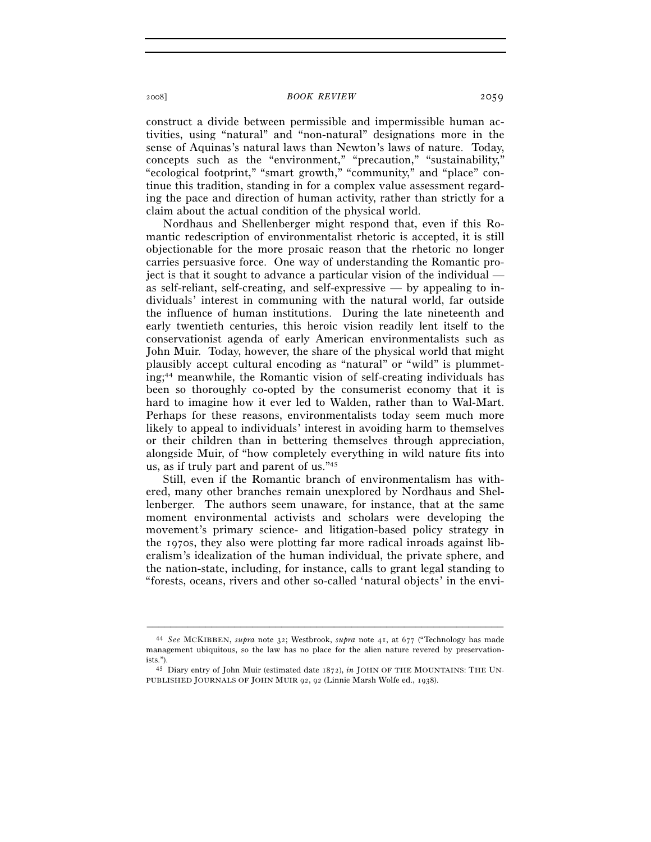construct a divide between permissible and impermissible human activities, using "natural" and "non-natural" designations more in the sense of Aquinas's natural laws than Newton's laws of nature. Today, concepts such as the "environment," "precaution," "sustainability," "ecological footprint," "smart growth," "community," and "place" continue this tradition, standing in for a complex value assessment regarding the pace and direction of human activity, rather than strictly for a claim about the actual condition of the physical world.

Nordhaus and Shellenberger might respond that, even if this Romantic redescription of environmentalist rhetoric is accepted, it is still objectionable for the more prosaic reason that the rhetoric no longer carries persuasive force. One way of understanding the Romantic project is that it sought to advance a particular vision of the individual as self-reliant, self-creating, and self-expressive — by appealing to individuals' interest in communing with the natural world, far outside the influence of human institutions. During the late nineteenth and early twentieth centuries, this heroic vision readily lent itself to the conservationist agenda of early American environmentalists such as John Muir. Today, however, the share of the physical world that might plausibly accept cultural encoding as "natural" or "wild" is plummeting;44 meanwhile, the Romantic vision of self-creating individuals has been so thoroughly co-opted by the consumerist economy that it is hard to imagine how it ever led to Walden, rather than to Wal-Mart. Perhaps for these reasons, environmentalists today seem much more likely to appeal to individuals' interest in avoiding harm to themselves or their children than in bettering themselves through appreciation, alongside Muir, of "how completely everything in wild nature fits into us, as if truly part and parent of us."45

Still, even if the Romantic branch of environmentalism has withered, many other branches remain unexplored by Nordhaus and Shellenberger. The authors seem unaware, for instance, that at the same moment environmental activists and scholars were developing the movement's primary science- and litigation-based policy strategy in the 1970s, they also were plotting far more radical inroads against liberalism's idealization of the human individual, the private sphere, and the nation-state, including, for instance, calls to grant legal standing to "forests, oceans, rivers and other so-called 'natural objects' in the envi-

<sup>44</sup> *See* MCKIBBEN, *supra* note 32; Westbrook, *supra* note 41, at 677 ("Technology has made management ubiquitous, so the law has no place for the alien nature revered by preservationists."). 45 Diary entry of John Muir (estimated date 1872), *in* JOHN OF THE MOUNTAINS: THE UN-

PUBLISHED JOURNALS OF JOHN MUIR 92, 92 (Linnie Marsh Wolfe ed., 1938).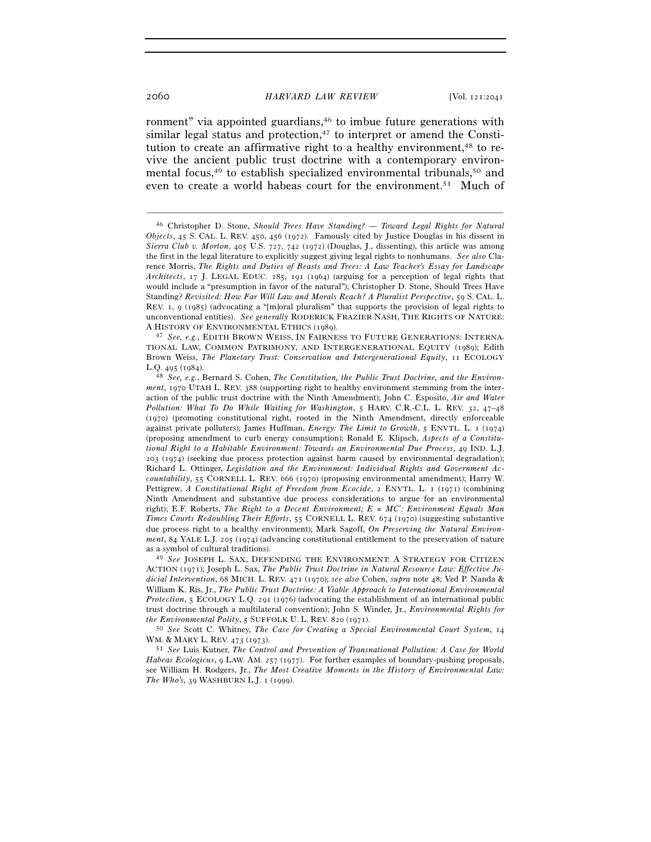ronment" via appointed guardians,<sup>46</sup> to imbue future generations with similar legal status and protection, $47$  to interpret or amend the Constitution to create an affirmative right to a healthy environment,<sup>48</sup> to revive the ancient public trust doctrine with a contemporary environmental focus,49 to establish specialized environmental tribunals,50 and even to create a world habeas court for the environment.51 Much of

–––––––––––––––––––––––––––––––––––––––––––––––––––––––––––––

TIONAL LAW, COMMON PATRIMONY, AND INTERGENERATIONAL EQUITY (1989); Edith Brown Weiss, *The Planetary Trust: Conservation and Intergenerational Equity*, 11 ECOLOGY

ACTION (1971); Joseph L. Sax, *The Public Trust Doctrine in Natural Resource Law: Effective Judicial Intervention*, 68 MICH. L. REV. 471 (1970); *see also* Cohen, *supra* note 48; Ved P. Nanda & William K. Ris, Jr., *The Public Trust Doctrine: A Viable Approach to International Environmental Protection*, 5 ECOLOGY L.Q. 291 (1976) (advocating the establishment of an international public trust doctrine through a multilateral convention); John S. Winder, Jr., *Environmental Rights for the Environmental Polity*, 5 SUFFOLK U. L. REV. 820 (1971). 50 *See* Scott C. Whitney, *The Case for Creating a Special Environmental Court System*, <sup>14</sup>

WM. & MARY L. REV. 473 (1973).<br><sup>51</sup> *See* Luis Kutner, *The Control and Prevention of Transnational Pollution: A Case for World* 

*Habeas Ecologicus*, 9 LAW. AM. 257 (1977). For further examples of boundary-pushing proposals, see William H. Rodgers, Jr., *The Most Creative Moments in the History of Environmental Law: The Who's*, 39 WASHBURN L.J. 1 (1999).

<sup>46</sup> Christopher D. Stone, *Should Trees Have Standing? — Toward Legal Rights for Natural Objects*, 45 S. CAL. L. REV. 450, 456 (1972). Famously cited by Justice Douglas in his dissent in *Sierra Club v. Morton*, 405 U.S. 727, 742 (1972) (Douglas, J., dissenting), this article was among the first in the legal literature to explicitly suggest giving legal rights to nonhumans. *See also* Clarence Morris, *The Rights and Duties of Beasts and Trees: A Law Teacher's Essay for Landscape Architects*, 17 J. LEGAL EDUC. 185, 191 (1964) (arguing for a perception of legal rights that would include a "presumption in favor of the natural"); Christopher D. Stone, Should Trees Have Standing? *Revisited: How Far Will Law and Morals Reach? A Pluralist Perspective*, 59 S. CAL. L. REV. 1, 9 (1985) (advocating a "[m]oral pluralism" that supports the provision of legal rights to unconventional entities). *See generally* RODERICK FRAZIER NASH, THE RIGHTS OF NATURE: <sup>A</sup> HISTORY OF ENVIRONMENTAL ETHICS (1989). 47 *See, e.g.*, EDITH BROWN WEISS, IN FAIRNESS TO FUTURE GENERATIONS: INTERNA-

L.Q. 495 (1984). 48 *See, e.g.*, Bernard S. Cohen, *The Constitution, the Public Trust Doctrine, and the Environment*, 1970 UTAH L. REV. 388 (supporting right to healthy environment stemming from the interaction of the public trust doctrine with the Ninth Amendment); John C. Esposito, *Air and Water Pollution: What To Do While Waiting for Washington*, 5 HARV. C.R.-C.L. L. REV. 32, 47–48 (1970) (promoting constitutional right, rooted in the Ninth Amendment, directly enforceable against private polluters); James Huffman, *Energy: The Limit to Growth*, 5 ENVTL. L. 1 (1974) (proposing amendment to curb energy consumption); Ronald E. Klipsch, *Aspects of a Constitutional Right to a Habitable Environment: Towards an Environmental Due Process*, 49 IND. L.J. 203 (1974) (seeking due process protection against harm caused by environmental degradation); Richard L. Ottinger, *Legislation and the Environment: Individual Rights and Government Accountability*, 55 CORNELL L. REV. 666 (1970) (proposing environmental amendment); Harry W. Pettigrew, *A Constitutional Right of Freedom from Ecocide*, 2 ENVTL. L. 1 (1971) (combining Ninth Amendment and substantive due process considerations to argue for an environmental right); E.F. Roberts, *The Right to a Decent Environment; E = MC<sup>2</sup> : Environment Equals Man Times Courts Redoubling Their Efforts*, 55 CORNELL L. REV. 674 (1970) (suggesting substantive due process right to a healthy environment); Mark Sagoff, *On Preserving the Natural Environment*, 84 YALE L.J. 205 (1974) (advancing constitutional entitlement to the preservation of nature as a symbol of cultural traditions). 49 *See* JOSEPH L. SAX, DEFENDING THE ENVIRONMENT: <sup>A</sup> STRATEGY FOR CITIZEN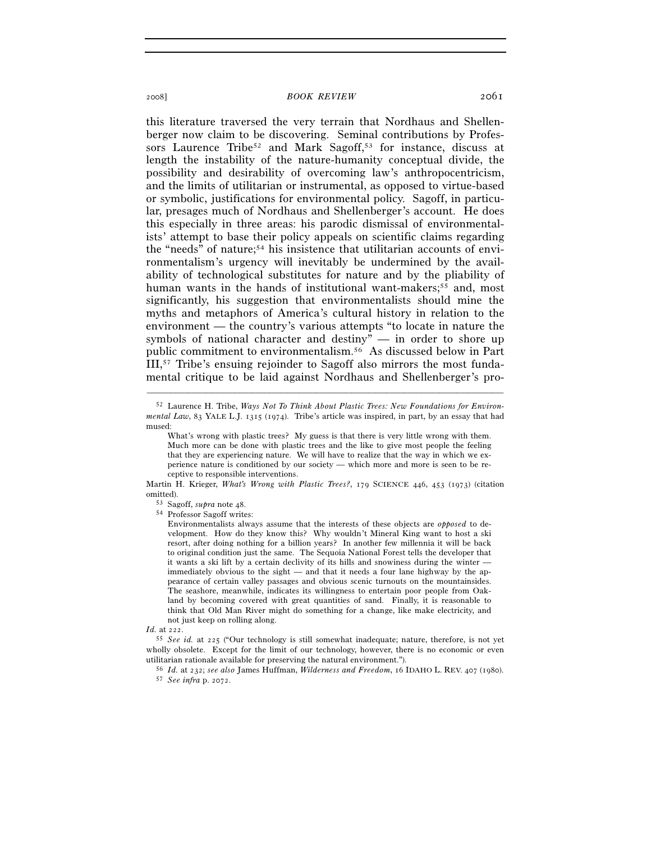this literature traversed the very terrain that Nordhaus and Shellenberger now claim to be discovering. Seminal contributions by Professors Laurence Tribe<sup>52</sup> and Mark Sagoff,<sup>53</sup> for instance, discuss at length the instability of the nature-humanity conceptual divide, the possibility and desirability of overcoming law's anthropocentricism, and the limits of utilitarian or instrumental, as opposed to virtue-based or symbolic, justifications for environmental policy. Sagoff, in particular, presages much of Nordhaus and Shellenberger's account. He does this especially in three areas: his parodic dismissal of environmentalists' attempt to base their policy appeals on scientific claims regarding the "needs" of nature;54 his insistence that utilitarian accounts of environmentalism's urgency will inevitably be undermined by the availability of technological substitutes for nature and by the pliability of human wants in the hands of institutional want-makers;<sup>55</sup> and, most significantly, his suggestion that environmentalists should mine the myths and metaphors of America's cultural history in relation to the environment — the country's various attempts "to locate in nature the symbols of national character and destiny" — in order to shore up public commitment to environmentalism.56 As discussed below in Part III,57 Tribe's ensuing rejoinder to Sagoff also mirrors the most fundamental critique to be laid against Nordhaus and Shellenberger's pro-

–––––––––––––––––––––––––––––––––––––––––––––––––––––––––––––

Martin H. Krieger, *What's Wrong with Plastic Trees?*, 179 SCIENCE 446, 453 (1973) (citation omitted).<br><sup>53</sup> Sagoff, *supra* note 48.<br><sup>54</sup> Professor Sagoff writes:

Environmentalists always assume that the interests of these objects are *opposed* to development. How do they know this? Why wouldn't Mineral King want to host a ski resort, after doing nothing for a billion years? In another few millennia it will be back to original condition just the same. The Sequoia National Forest tells the developer that it wants a ski lift by a certain declivity of its hills and snowiness during the winter immediately obvious to the sight — and that it needs a four lane highway by the appearance of certain valley passages and obvious scenic turnouts on the mountainsides. The seashore, meanwhile, indicates its willingness to entertain poor people from Oakland by becoming covered with great quantities of sand. Finally, it is reasonable to think that Old Man River might do something for a change, like make electricity, and not just keep on rolling along.<br> $Id$  at 222

*Id.* at 222. 55 *See id.* at 225 ("Our technology is still somewhat inadequate; nature, therefore, is not yet wholly obsolete. Except for the limit of our technology, however, there is no economic or even utilitarian rationale available for preserving the natural environment.").

utilitarian rationale available for preserving the natural environment."). 56 *Id.* at 232; *see also* James Huffman, *Wilderness and Freedom*, 16 IDAHO L. REV. 407 (1980). 57 *See infra* p. 2072.

<sup>52</sup> Laurence H. Tribe, *Ways Not To Think About Plastic Trees: New Foundations for Environmental Law*, 83 YALE L.J. 1315 (1974). Tribe's article was inspired, in part, by an essay that had mused:

What's wrong with plastic trees? My guess is that there is very little wrong with them. Much more can be done with plastic trees and the like to give most people the feeling that they are experiencing nature. We will have to realize that the way in which we experience nature is conditioned by our society — which more and more is seen to be receptive to responsible interventions.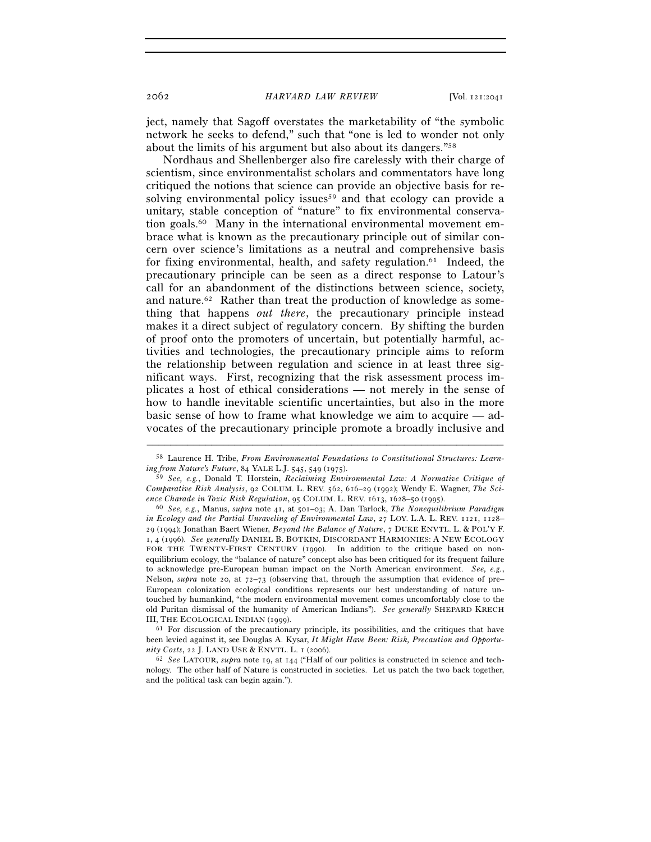ject, namely that Sagoff overstates the marketability of "the symbolic network he seeks to defend," such that "one is led to wonder not only about the limits of his argument but also about its dangers."58

Nordhaus and Shellenberger also fire carelessly with their charge of scientism, since environmentalist scholars and commentators have long critiqued the notions that science can provide an objective basis for resolving environmental policy issues<sup>59</sup> and that ecology can provide a unitary, stable conception of "nature" to fix environmental conservation goals.60 Many in the international environmental movement embrace what is known as the precautionary principle out of similar concern over science's limitations as a neutral and comprehensive basis for fixing environmental, health, and safety regulation. $61$  Indeed, the precautionary principle can be seen as a direct response to Latour's call for an abandonment of the distinctions between science, society, and nature.<sup>62</sup> Rather than treat the production of knowledge as something that happens *out there*, the precautionary principle instead makes it a direct subject of regulatory concern. By shifting the burden of proof onto the promoters of uncertain, but potentially harmful, activities and technologies, the precautionary principle aims to reform the relationship between regulation and science in at least three significant ways. First, recognizing that the risk assessment process implicates a host of ethical considerations — not merely in the sense of how to handle inevitable scientific uncertainties, but also in the more basic sense of how to frame what knowledge we aim to acquire — advocates of the precautionary principle promote a broadly inclusive and

<sup>–––––––––––––––––––––––––––––––––––––––––––––––––––––––––––––</sup> 58 Laurence H. Tribe, *From Environmental Foundations to Constitutional Structures: Learning from Nature's Future*, 84 YALE L.J. 545, 549 (1975).

<sup>59</sup> *See, e.g.*, Donald T. Horstein, *Reclaiming Environmental Law: A Normative Critique of Comparative Risk Analysis*, 92 COLUM. L. REV. 562, 616–29 (1992); Wendy E. Wagner, *The Science Charade in Toxic Risk Regulation*, 95 COLUM. L. REV. 1613, 1628–50 (1995). 60 *See, e.g.*, Manus, *supra* note 41, at 501–03; A. Dan Tarlock, *The Nonequilibrium Paradigm* 

*in Ecology and the Partial Unraveling of Environmental Law*, 27 LOY. L.A. L. REV. 1121, 1128– 29 (1994); Jonathan Baert Wiener, *Beyond the Balance of Nature*, 7 DUKE ENVTL. L. & POL'Y F. 1, 4 (1996). *See generally* DANIEL B. BOTKIN, DISCORDANT HARMONIES: A NEW ECOLOGY FOR THE TWENTY-FIRST CENTURY (1990). In addition to the critique based on nonequilibrium ecology, the "balance of nature" concept also has been critiqued for its frequent failure to acknowledge pre-European human impact on the North American environment. *See, e.g.*, Nelson, *supra* note 20, at 72–73 (observing that, through the assumption that evidence of pre– European colonization ecological conditions represents our best understanding of nature untouched by humankind, "the modern environmental movement comes uncomfortably close to the old Puritan dismissal of the humanity of American Indians"). *See generally* SHEPARD KRECH

III, THE ECOLOGICAL INDIAN (1999).  $61$  For discussion of the precautionary principle, its possibilities, and the critiques that have been levied against it, see Douglas A. Kysar, *It Might Have Been: Risk, Precaution and Opportunity Costs*, 22 J. LAND USE & ENVTL. L. 1 (2006). 62 *See* LATOUR, *supra* note 19, at 144 ("Half of our politics is constructed in science and tech-

nology. The other half of Nature is constructed in societies. Let us patch the two back together, and the political task can begin again.").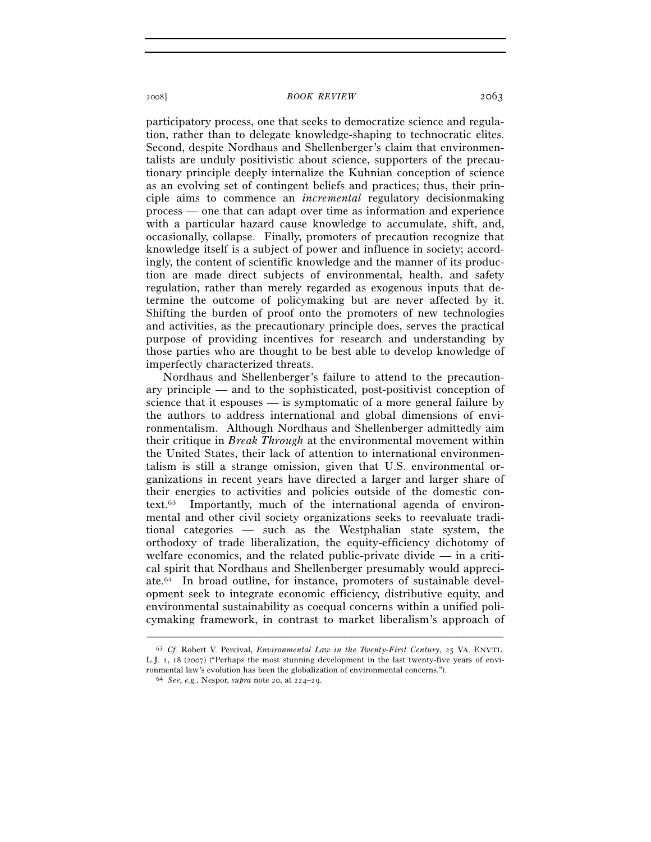participatory process, one that seeks to democratize science and regulation, rather than to delegate knowledge-shaping to technocratic elites. Second, despite Nordhaus and Shellenberger's claim that environmentalists are unduly positivistic about science, supporters of the precautionary principle deeply internalize the Kuhnian conception of science as an evolving set of contingent beliefs and practices; thus, their principle aims to commence an *incremental* regulatory decisionmaking process — one that can adapt over time as information and experience with a particular hazard cause knowledge to accumulate, shift, and, occasionally, collapse. Finally, promoters of precaution recognize that knowledge itself is a subject of power and influence in society; accordingly, the content of scientific knowledge and the manner of its production are made direct subjects of environmental, health, and safety regulation, rather than merely regarded as exogenous inputs that determine the outcome of policymaking but are never affected by it. Shifting the burden of proof onto the promoters of new technologies and activities, as the precautionary principle does, serves the practical purpose of providing incentives for research and understanding by those parties who are thought to be best able to develop knowledge of imperfectly characterized threats.

Nordhaus and Shellenberger's failure to attend to the precautionary principle — and to the sophisticated, post-positivist conception of science that it espouses — is symptomatic of a more general failure by the authors to address international and global dimensions of environmentalism. Although Nordhaus and Shellenberger admittedly aim their critique in *Break Through* at the environmental movement within the United States, their lack of attention to international environmentalism is still a strange omission, given that U.S. environmental organizations in recent years have directed a larger and larger share of their energies to activities and policies outside of the domestic context.63 Importantly, much of the international agenda of environmental and other civil society organizations seeks to reevaluate traditional categories — such as the Westphalian state system, the orthodoxy of trade liberalization, the equity-efficiency dichotomy of welfare economics, and the related public-private divide — in a critical spirit that Nordhaus and Shellenberger presumably would appreciate.64 In broad outline, for instance, promoters of sustainable development seek to integrate economic efficiency, distributive equity, and environmental sustainability as coequal concerns within a unified policymaking framework, in contrast to market liberalism's approach of

<sup>63</sup> *Cf.* Robert V. Percival, *Environmental Law in the Twenty-First Century*, 25 VA. ENVTL. L.J. 1, 18 (2007) ("Perhaps the most stunning development in the last twenty-five years of environmental law's evolution has been the globalization of environmental concerns."). 64 *See, e.g.*, Nespor, *supra* note 20, at 224–29.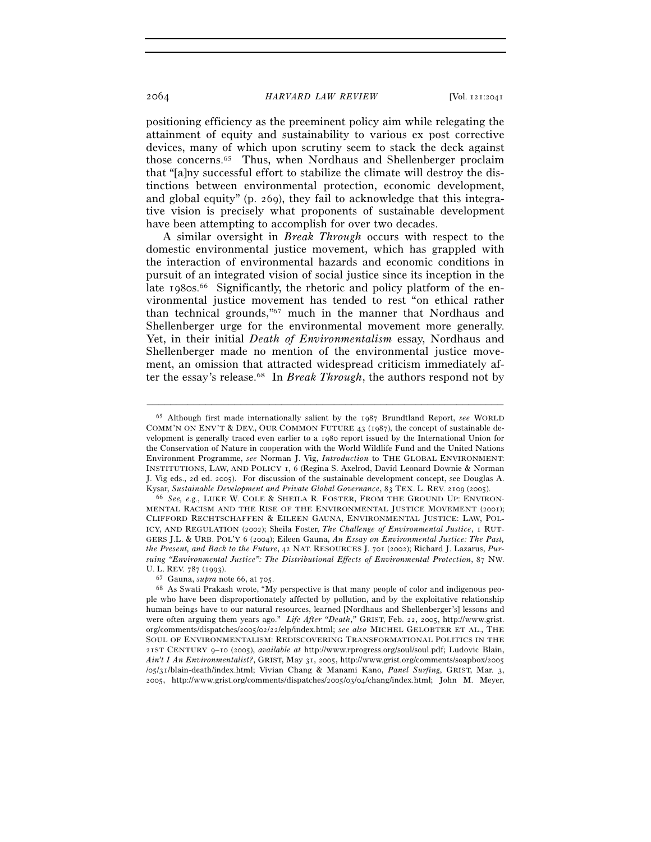positioning efficiency as the preeminent policy aim while relegating the attainment of equity and sustainability to various ex post corrective devices, many of which upon scrutiny seem to stack the deck against those concerns.65 Thus, when Nordhaus and Shellenberger proclaim that "[a]ny successful effort to stabilize the climate will destroy the distinctions between environmental protection, economic development, and global equity" (p. 269), they fail to acknowledge that this integrative vision is precisely what proponents of sustainable development have been attempting to accomplish for over two decades.

A similar oversight in *Break Through* occurs with respect to the domestic environmental justice movement, which has grappled with the interaction of environmental hazards and economic conditions in pursuit of an integrated vision of social justice since its inception in the late 1980s.<sup>66</sup> Significantly, the rhetoric and policy platform of the environmental justice movement has tended to rest "on ethical rather than technical grounds,"67 much in the manner that Nordhaus and Shellenberger urge for the environmental movement more generally. Yet, in their initial *Death of Environmentalism* essay, Nordhaus and Shellenberger made no mention of the environmental justice movement, an omission that attracted widespread criticism immediately after the essay's release.68 In *Break Through*, the authors respond not by

<sup>65</sup> Although first made internationally salient by the 1987 Brundtland Report, *see* WORLD COMM'N ON ENV'T & DEV., OUR COMMON FUTURE 43 (1987), the concept of sustainable development is generally traced even earlier to a 1980 report issued by the International Union for the Conservation of Nature in cooperation with the World Wildlife Fund and the United Nations Environment Programme, *see* Norman J. Vig, *Introduction* to THE GLOBAL ENVIRONMENT: INSTITUTIONS, LAW, AND POLICY 1, 6 (Regina S. Axelrod, David Leonard Downie & Norman J. Vig eds., 2d ed. 2005). For discussion of the sustainable development concept, see Douglas A.

Kysar, *Sustainable Development and Private Global Governance*, 83 TEX. L. REV. 2109 (2005). 66 *See, e.g.*, LUKE W. COLE & SHEILA R. FOSTER, FROM THE GROUND UP: ENVIRON-MENTAL RACISM AND THE RISE OF THE ENVIRONMENTAL JUSTICE MOVEMENT (2001); CLIFFORD RECHTSCHAFFEN & EILEEN GAUNA, ENVIRONMENTAL JUSTICE: LAW, POL-ICY, AND REGULATION (2002); Sheila Foster, *The Challenge of Environmental Justice*, 1 RUT-GERS J.L. & URB. POL'Y 6 (2004); Eileen Gauna, *An Essay on Environmental Justice: The Past, the Present, and Back to the Future*, 42 NAT. RESOURCES J. 701 (2002); Richard J. Lazarus, *Pursuing "Environmental Justice": The Distributional Effects of Environmental Protection*, 87 NW.

U. L. REV. 787 (1993).<br><sup>67</sup> Gauna, *supra* note 66, at 705.<br><sup>68</sup> As Swati Prakash wrote, "My perspective is that many people of color and indigenous people who have been disproportionately affected by pollution, and by the exploitative relationship human beings have to our natural resources, learned [Nordhaus and Shellenberger's] lessons and were often arguing them years ago." *Life After "Death*,*"* GRIST, Feb. 22, 2005, http://www.grist. org/comments/dispatches/2005/02/22/elp/index.html; *see also* MICHEL GELOBTER ET AL., THE SOUL OF ENVIRONMENTALISM: REDISCOVERING TRANSFORMATIONAL POLITICS IN THE 21ST CENTURY 9–10 (2005), *available at* http://www.rprogress.org/soul/soul.pdf; Ludovic Blain, *Ain't I An Environmentalist?*, GRIST, May 31, 2005, http://www.grist.org/comments/soapbox/2005 /05/31/blain-death/index.html; Vivian Chang & Manami Kano, *Panel Surfing*, GRIST, Mar. 3, 2005, http://www.grist.org/comments/dispatches/2005/03/04/chang/index.html; John M. Meyer,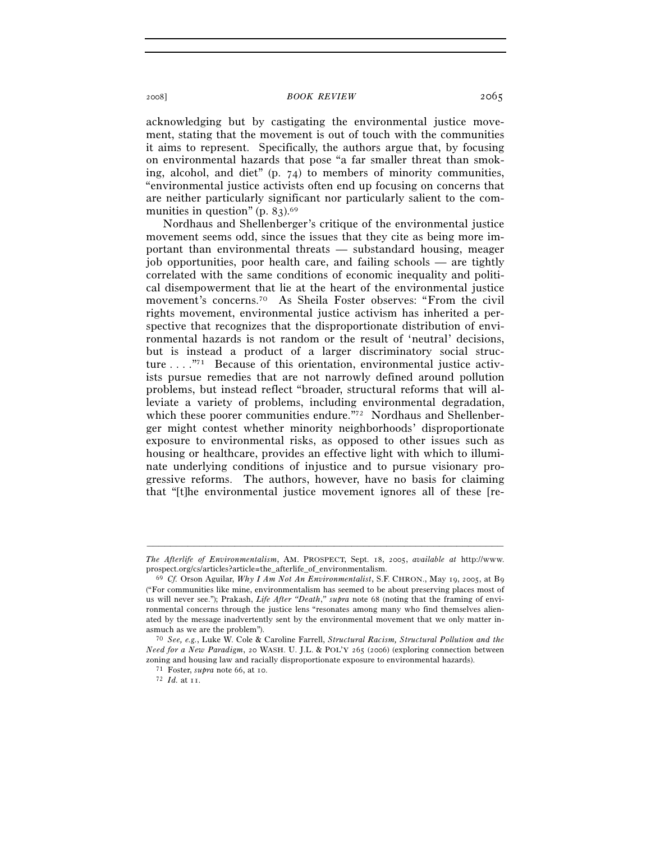acknowledging but by castigating the environmental justice movement, stating that the movement is out of touch with the communities it aims to represent. Specifically, the authors argue that, by focusing on environmental hazards that pose "a far smaller threat than smoking, alcohol, and diet" (p. 74) to members of minority communities, "environmental justice activists often end up focusing on concerns that are neither particularly significant nor particularly salient to the communities in question"  $(p. 83)$ .<sup>69</sup>

Nordhaus and Shellenberger's critique of the environmental justice movement seems odd, since the issues that they cite as being more important than environmental threats — substandard housing, meager job opportunities, poor health care, and failing schools — are tightly correlated with the same conditions of economic inequality and political disempowerment that lie at the heart of the environmental justice movement's concerns.70 As Sheila Foster observes: "From the civil rights movement, environmental justice activism has inherited a perspective that recognizes that the disproportionate distribution of environmental hazards is not random or the result of 'neutral' decisions, but is instead a product of a larger discriminatory social structure . . . .<sup>"71</sup> Because of this orientation, environmental justice activists pursue remedies that are not narrowly defined around pollution problems, but instead reflect "broader, structural reforms that will alleviate a variety of problems, including environmental degradation, which these poorer communities endure."72 Nordhaus and Shellenberger might contest whether minority neighborhoods' disproportionate exposure to environmental risks, as opposed to other issues such as housing or healthcare, provides an effective light with which to illuminate underlying conditions of injustice and to pursue visionary progressive reforms. The authors, however, have no basis for claiming that "[t]he environmental justice movement ignores all of these [re-

<sup>–––––––––––––––––––––––––––––––––––––––––––––––––––––––––––––</sup> *The Afterlife of Environmentalism*, AM. PROSPECT, Sept. 18, 2005, *available at* http://www. prospect.org/cs/articles?article=the\_afterlife\_of\_environmentalism. 69 *Cf.* Orson Aguilar, *Why I Am Not An Environmentalist*, S.F. CHRON., May 19, 2005, at B<sup>9</sup>

<sup>(&</sup>quot;For communities like mine, environmentalism has seemed to be about preserving places most of us will never see."); Prakash, *Life After "Death*,*" supra* note 68 (noting that the framing of environmental concerns through the justice lens "resonates among many who find themselves alienated by the message inadvertently sent by the environmental movement that we only matter in-<br>asmuch as we are the problem").

asmuch as we are the problem"). 70 *See, e.g.*, Luke W. Cole & Caroline Farrell, *Structural Racism, Structural Pollution and the Need for a New Paradigm*, 20 WASH. U. J.L. & POL'Y 265 (2006) (exploring connection between zoning and housing law and racially disproportionate exposure to environmental hazards). 71 Foster, *supra* note 66, at 10. 72 *Id.* at 11.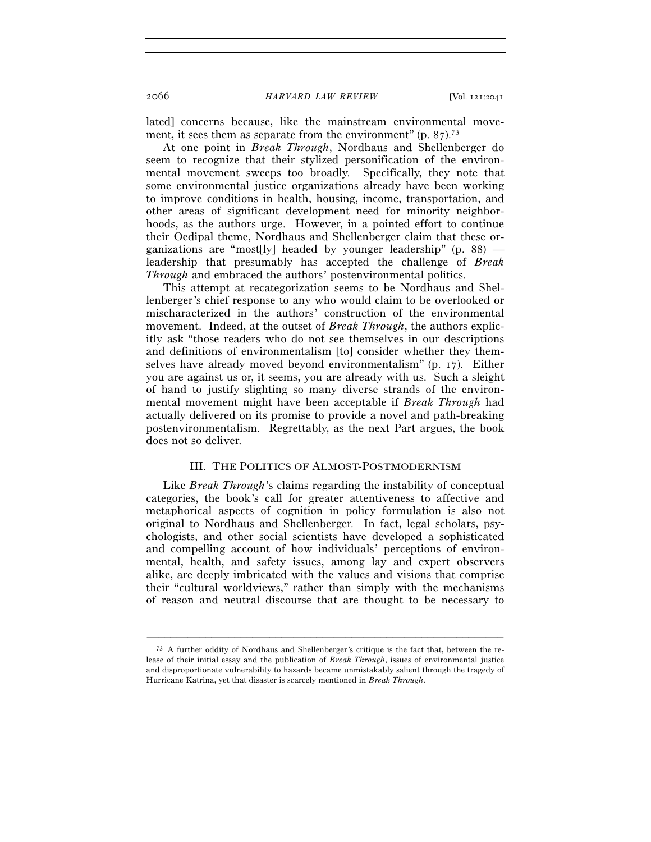lated] concerns because, like the mainstream environmental movement, it sees them as separate from the environment"  $(p, 87)$ .<sup>73</sup>

At one point in *Break Through*, Nordhaus and Shellenberger do seem to recognize that their stylized personification of the environmental movement sweeps too broadly. Specifically, they note that some environmental justice organizations already have been working to improve conditions in health, housing, income, transportation, and other areas of significant development need for minority neighborhoods, as the authors urge. However, in a pointed effort to continue their Oedipal theme, Nordhaus and Shellenberger claim that these organizations are "most[ly] headed by younger leadership" (p. 88) leadership that presumably has accepted the challenge of *Break Through* and embraced the authors' postenvironmental politics.

This attempt at recategorization seems to be Nordhaus and Shellenberger's chief response to any who would claim to be overlooked or mischaracterized in the authors' construction of the environmental movement. Indeed, at the outset of *Break Through*, the authors explicitly ask "those readers who do not see themselves in our descriptions and definitions of environmentalism [to] consider whether they themselves have already moved beyond environmentalism" (p. 17). Either you are against us or, it seems, you are already with us. Such a sleight of hand to justify slighting so many diverse strands of the environmental movement might have been acceptable if *Break Through* had actually delivered on its promise to provide a novel and path-breaking postenvironmentalism. Regrettably, as the next Part argues, the book does not so deliver.

## III. THE POLITICS OF ALMOST-POSTMODERNISM

Like *Break Through*'s claims regarding the instability of conceptual categories, the book's call for greater attentiveness to affective and metaphorical aspects of cognition in policy formulation is also not original to Nordhaus and Shellenberger. In fact, legal scholars, psychologists, and other social scientists have developed a sophisticated and compelling account of how individuals' perceptions of environmental, health, and safety issues, among lay and expert observers alike, are deeply imbricated with the values and visions that comprise their "cultural worldviews," rather than simply with the mechanisms of reason and neutral discourse that are thought to be necessary to

<sup>73</sup> A further oddity of Nordhaus and Shellenberger's critique is the fact that, between the release of their initial essay and the publication of *Break Through*, issues of environmental justice and disproportionate vulnerability to hazards became unmistakably salient through the tragedy of Hurricane Katrina, yet that disaster is scarcely mentioned in *Break Through*.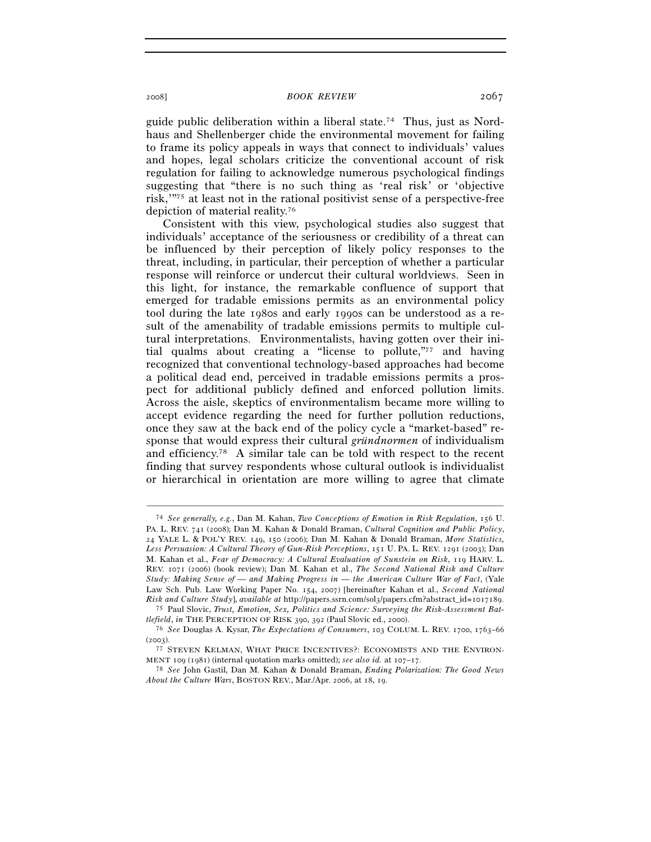guide public deliberation within a liberal state.<sup>74</sup> Thus, just as Nordhaus and Shellenberger chide the environmental movement for failing to frame its policy appeals in ways that connect to individuals' values and hopes, legal scholars criticize the conventional account of risk regulation for failing to acknowledge numerous psychological findings suggesting that "there is no such thing as 'real risk' or 'objective risk,'"75 at least not in the rational positivist sense of a perspective-free depiction of material reality.76

Consistent with this view, psychological studies also suggest that individuals' acceptance of the seriousness or credibility of a threat can be influenced by their perception of likely policy responses to the threat, including, in particular, their perception of whether a particular response will reinforce or undercut their cultural worldviews. Seen in this light, for instance, the remarkable confluence of support that emerged for tradable emissions permits as an environmental policy tool during the late 1980s and early 1990s can be understood as a result of the amenability of tradable emissions permits to multiple cultural interpretations. Environmentalists, having gotten over their initial qualms about creating a "license to pollute,"77 and having recognized that conventional technology-based approaches had become a political dead end, perceived in tradable emissions permits a prospect for additional publicly defined and enforced pollution limits. Across the aisle, skeptics of environmentalism became more willing to accept evidence regarding the need for further pollution reductions, once they saw at the back end of the policy cycle a "market-based" response that would express their cultural *gründnormen* of individualism and efficiency.78 A similar tale can be told with respect to the recent finding that survey respondents whose cultural outlook is individualist or hierarchical in orientation are more willing to agree that climate

<sup>74</sup> *See generally, e.g.*, Dan M. Kahan, *Two Conceptions of Emotion in Risk Regulation*, 156 U. PA. L. REV. 741 (2008); Dan M. Kahan & Donald Braman, *Cultural Cognition and Public Policy*, 24 YALE L. & POL'Y REV. 149, 150 (2006); Dan M. Kahan & Donald Braman, *More Statistics, Less Persuasion: A Cultural Theory of Gun-Risk Perceptions*, 151 U. PA. L. REV. 1291 (2003); Dan M. Kahan et al., *Fear of Democracy: A Cultural Evaluation of Sunstein on Risk*, 119 HARV. L. REV. 1071 (2006) (book review); Dan M. Kahan et al., *The Second National Risk and Culture Study: Making Sense of — and Making Progress in — the American Culture War of Fact*, (Yale Law Sch. Pub. Law Working Paper No. 154, 2007) [hereinafter Kahan et al., *Second National* 

*Risk and Culture Study*], *available at* http://papers.ssrn.com/sol3/papers.cfm?abstract\_id=1017189. 75 Paul Slovic, *Trust, Emotion, Sex, Politics and Science: Surveying the Risk-Assessment Battlefield*, *in* THE PERCEPTION OF RISK 390, 392 (Paul Slovic ed., 2000).<br><sup>76</sup> *See* Douglas A. Kysar, *The Expectations of Consumers*, 103 COLUM. L. REV. 1700, 1763–66

<sup>(2003). 77</sup> STEVEN KELMAN, WHAT PRICE INCENTIVES?: ECONOMISTS AND THE ENVIRON-<br>MENT 109 (1981) (internal quotation marks omitted); *see also id.* at 107–17.

<sup>&</sup>lt;sup>78</sup> See John Gastil, Dan M. Kahan & Donald Braman, *Ending Polarization: The Good News About the Culture Wars*, BOSTON REV., Mar./Apr. 2006, at 18, 19.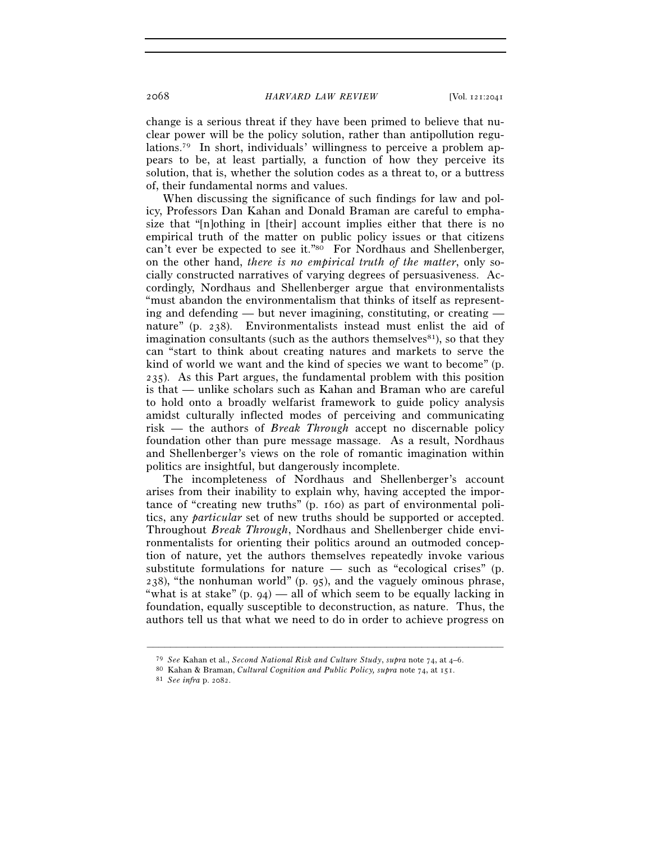change is a serious threat if they have been primed to believe that nuclear power will be the policy solution, rather than antipollution regulations.79 In short, individuals' willingness to perceive a problem appears to be, at least partially, a function of how they perceive its solution, that is, whether the solution codes as a threat to, or a buttress of, their fundamental norms and values.

When discussing the significance of such findings for law and policy, Professors Dan Kahan and Donald Braman are careful to emphasize that "[n]othing in [their] account implies either that there is no empirical truth of the matter on public policy issues or that citizens can't ever be expected to see it."80 For Nordhaus and Shellenberger, on the other hand, *there is no empirical truth of the matter*, only socially constructed narratives of varying degrees of persuasiveness. Accordingly, Nordhaus and Shellenberger argue that environmentalists "must abandon the environmentalism that thinks of itself as representing and defending — but never imagining, constituting, or creating nature" (p. 238). Environmentalists instead must enlist the aid of imagination consultants (such as the authors themselves $81$ ), so that they can "start to think about creating natures and markets to serve the kind of world we want and the kind of species we want to become" (p. 235). As this Part argues, the fundamental problem with this position is that — unlike scholars such as Kahan and Braman who are careful to hold onto a broadly welfarist framework to guide policy analysis amidst culturally inflected modes of perceiving and communicating risk — the authors of *Break Through* accept no discernable policy foundation other than pure message massage. As a result, Nordhaus and Shellenberger's views on the role of romantic imagination within politics are insightful, but dangerously incomplete.

The incompleteness of Nordhaus and Shellenberger's account arises from their inability to explain why, having accepted the importance of "creating new truths" (p. 160) as part of environmental politics, any *particular* set of new truths should be supported or accepted. Throughout *Break Through*, Nordhaus and Shellenberger chide environmentalists for orienting their politics around an outmoded conception of nature, yet the authors themselves repeatedly invoke various substitute formulations for nature — such as "ecological crises" (p.  $238$ , "the nonhuman world" (p. 95), and the vaguely ominous phrase, "what is at stake"  $(p, 94)$  — all of which seem to be equally lacking in foundation, equally susceptible to deconstruction, as nature. Thus, the authors tell us that what we need to do in order to achieve progress on

<sup>&</sup>lt;sup>79</sup> See Kahan et al., Second National Risk and Culture Study, supra note 74, at 4–6.<br><sup>80</sup> Kahan & Braman, Cultural Cognition and Public Policy, supra note 74, at 151.<br><sup>81</sup> See infra p. 2082.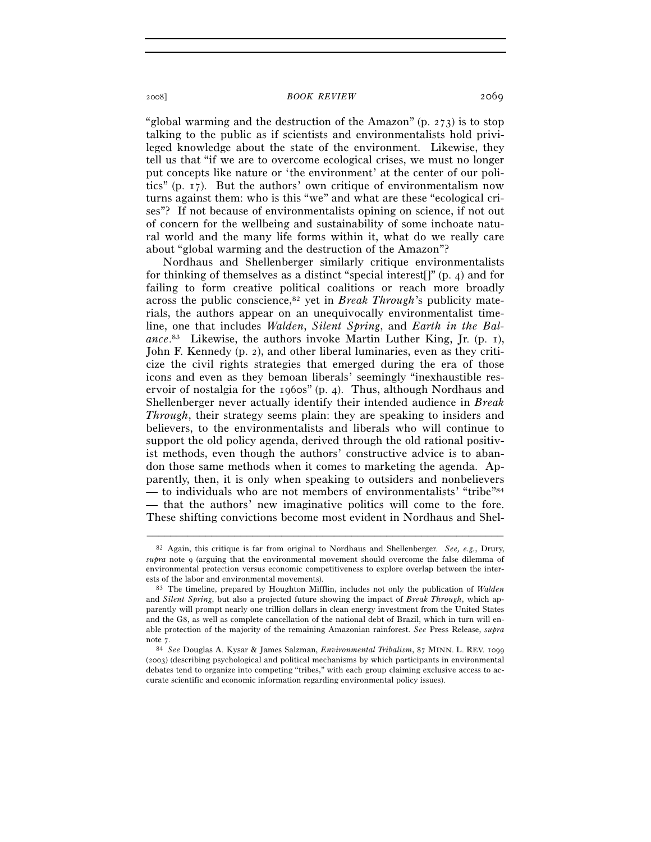"global warming and the destruction of the Amazon"  $(p. 273)$  is to stop talking to the public as if scientists and environmentalists hold privileged knowledge about the state of the environment. Likewise, they tell us that "if we are to overcome ecological crises, we must no longer put concepts like nature or 'the environment' at the center of our politics" (p. 17). But the authors' own critique of environmentalism now turns against them: who is this "we" and what are these "ecological crises"? If not because of environmentalists opining on science, if not out of concern for the wellbeing and sustainability of some inchoate natural world and the many life forms within it, what do we really care about "global warming and the destruction of the Amazon"?

Nordhaus and Shellenberger similarly critique environmentalists for thinking of themselves as a distinct "special interest[]" (p. 4) and for failing to form creative political coalitions or reach more broadly across the public conscience,82 yet in *Break Through*'s publicity materials, the authors appear on an unequivocally environmentalist timeline, one that includes *Walden*, *Silent Spring*, and *Earth in the Balance*. 83 Likewise, the authors invoke Martin Luther King, Jr. (p. 1), John F. Kennedy (p. 2), and other liberal luminaries, even as they criticize the civil rights strategies that emerged during the era of those icons and even as they bemoan liberals' seemingly "inexhaustible reservoir of nostalgia for the 1960s" (p. 4). Thus, although Nordhaus and Shellenberger never actually identify their intended audience in *Break Through*, their strategy seems plain: they are speaking to insiders and believers, to the environmentalists and liberals who will continue to support the old policy agenda, derived through the old rational positivist methods, even though the authors' constructive advice is to abandon those same methods when it comes to marketing the agenda. Apparently, then, it is only when speaking to outsiders and nonbelievers — to individuals who are not members of environmentalists' "tribe"84 — that the authors' new imaginative politics will come to the fore. These shifting convictions become most evident in Nordhaus and Shel-

<sup>82</sup> Again, this critique is far from original to Nordhaus and Shellenberger. *See, e.g.*, Drury, *supra* note 9 (arguing that the environmental movement should overcome the false dilemma of environmental protection versus economic competitiveness to explore overlap between the interests of the labor and environmental movements). 83 The timeline, prepared by Houghton Mifflin, includes not only the publication of *Walden* 

and *Silent Spring*, but also a projected future showing the impact of *Break Through*, which apparently will prompt nearly one trillion dollars in clean energy investment from the United States and the G8, as well as complete cancellation of the national debt of Brazil, which in turn will enable protection of the majority of the remaining Amazonian rainforest. *See* Press Release, *supra*

note 7. 84 *See* Douglas A. Kysar & James Salzman, *Environmental Tribalism*, 87 MINN. L. REV. <sup>1099</sup> (2003) (describing psychological and political mechanisms by which participants in environmental debates tend to organize into competing "tribes," with each group claiming exclusive access to accurate scientific and economic information regarding environmental policy issues).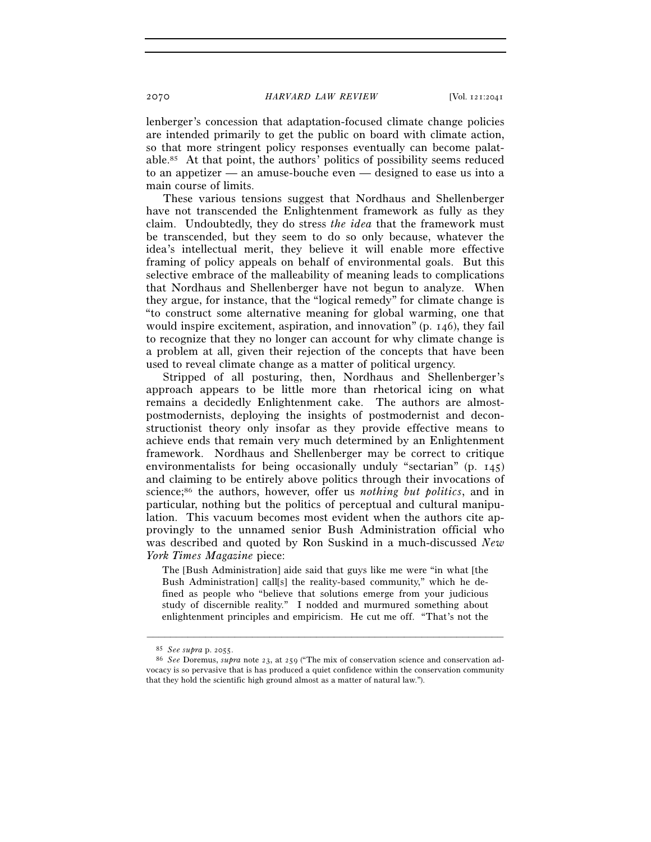lenberger's concession that adaptation-focused climate change policies are intended primarily to get the public on board with climate action, so that more stringent policy responses eventually can become palatable.85 At that point, the authors' politics of possibility seems reduced to an appetizer — an amuse-bouche even — designed to ease us into a main course of limits.

These various tensions suggest that Nordhaus and Shellenberger have not transcended the Enlightenment framework as fully as they claim. Undoubtedly, they do stress *the idea* that the framework must be transcended, but they seem to do so only because, whatever the idea's intellectual merit, they believe it will enable more effective framing of policy appeals on behalf of environmental goals. But this selective embrace of the malleability of meaning leads to complications that Nordhaus and Shellenberger have not begun to analyze. When they argue, for instance, that the "logical remedy" for climate change is "to construct some alternative meaning for global warming, one that would inspire excitement, aspiration, and innovation" (p. 146), they fail to recognize that they no longer can account for why climate change is a problem at all, given their rejection of the concepts that have been used to reveal climate change as a matter of political urgency.

Stripped of all posturing, then, Nordhaus and Shellenberger's approach appears to be little more than rhetorical icing on what remains a decidedly Enlightenment cake. The authors are almostpostmodernists, deploying the insights of postmodernist and deconstructionist theory only insofar as they provide effective means to achieve ends that remain very much determined by an Enlightenment framework. Nordhaus and Shellenberger may be correct to critique environmentalists for being occasionally unduly "sectarian" (p. 145) and claiming to be entirely above politics through their invocations of science;86 the authors, however, offer us *nothing but politics*, and in particular, nothing but the politics of perceptual and cultural manipulation. This vacuum becomes most evident when the authors cite approvingly to the unnamed senior Bush Administration official who was described and quoted by Ron Suskind in a much-discussed *New York Times Magazine* piece:

The [Bush Administration] aide said that guys like me were "in what [the Bush Administration] call[s] the reality-based community," which he defined as people who "believe that solutions emerge from your judicious study of discernible reality." I nodded and murmured something about enlightenment principles and empiricism. He cut me off. "That's not the

<sup>85</sup> *See supra* p. 2055. 86 *See* Doremus, *supra* note 23, at 259 ("The mix of conservation science and conservation advocacy is so pervasive that is has produced a quiet confidence within the conservation community that they hold the scientific high ground almost as a matter of natural law.").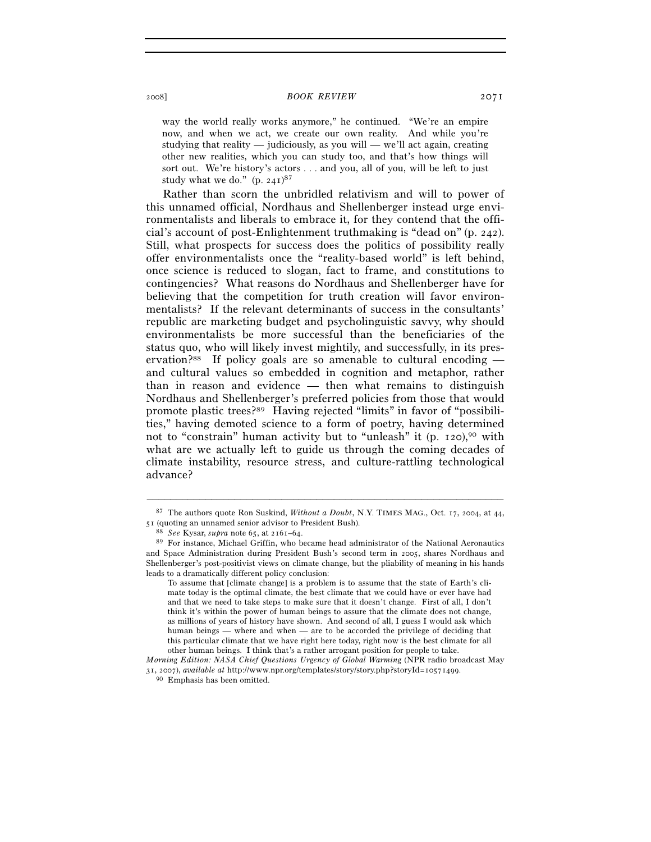way the world really works anymore," he continued. "We're an empire now, and when we act, we create our own reality. And while you're studying that reality — judiciously, as you will — we'll act again, creating other new realities, which you can study too, and that's how things will sort out. We're history's actors . . . and you, all of you, will be left to just study what we do."  $(p. 241)^{87}$ 

Rather than scorn the unbridled relativism and will to power of this unnamed official, Nordhaus and Shellenberger instead urge environmentalists and liberals to embrace it, for they contend that the official's account of post-Enlightenment truthmaking is "dead on" (p. 242). Still, what prospects for success does the politics of possibility really offer environmentalists once the "reality-based world" is left behind, once science is reduced to slogan, fact to frame, and constitutions to contingencies? What reasons do Nordhaus and Shellenberger have for believing that the competition for truth creation will favor environmentalists? If the relevant determinants of success in the consultants' republic are marketing budget and psycholinguistic savvy, why should environmentalists be more successful than the beneficiaries of the status quo, who will likely invest mightily, and successfully, in its preservation?<sup>88</sup> If policy goals are so amenable to cultural encoding  $$ and cultural values so embedded in cognition and metaphor, rather than in reason and evidence — then what remains to distinguish Nordhaus and Shellenberger's preferred policies from those that would promote plastic trees?89 Having rejected "limits" in favor of "possibilities," having demoted science to a form of poetry, having determined not to "constrain" human activity but to "unleash" it  $(p. 120)$ ,  $90$  with what are we actually left to guide us through the coming decades of climate instability, resource stress, and culture-rattling technological advance?

<sup>–––––––––––––––––––––––––––––––––––––––––––––––––––––––––––––</sup> 87 The authors quote Ron Suskind, *Without a Doubt*, N.Y. TIMES MAG., Oct. 17, 2004, at 44, 51 (quoting an unnamed senior advisor to President Bush).

<sup>88</sup> *See* Kysar, *supra* note 65, at 2161–64. 89 For instance, Michael Griffin, who became head administrator of the National Aeronautics and Space Administration during President Bush's second term in 2005, shares Nordhaus and Shellenberger's post-positivist views on climate change, but the pliability of meaning in his hands leads to a dramatically different policy conclusion:

To assume that [climate change] is a problem is to assume that the state of Earth's climate today is the optimal climate, the best climate that we could have or ever have had and that we need to take steps to make sure that it doesn't change. First of all, I don't think it's within the power of human beings to assure that the climate does not change, as millions of years of history have shown. And second of all, I guess I would ask which human beings — where and when — are to be accorded the privilege of deciding that this particular climate that we have right here today, right now is the best climate for all other human beings. I think that's a rather arrogant position for people to take.

*Morning Edition: NASA Chief Questions Urgency of Global Warming* (NPR radio broadcast May <sup>31</sup>, 2007), *available at* http://www.npr.org/templates/story/story.php?storyId=10571499. 90 Emphasis has been omitted.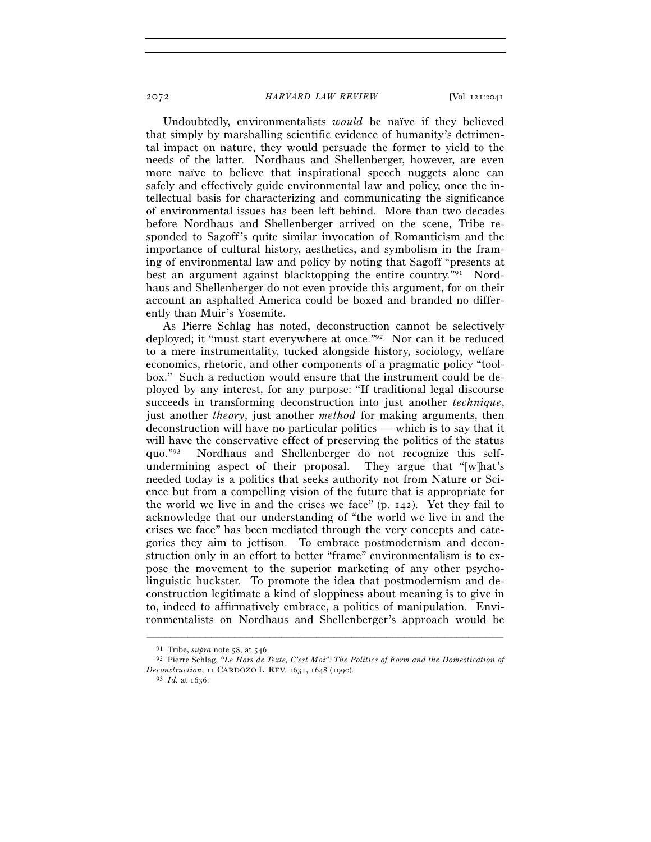Undoubtedly, environmentalists *would* be naïve if they believed that simply by marshalling scientific evidence of humanity's detrimental impact on nature, they would persuade the former to yield to the needs of the latter. Nordhaus and Shellenberger, however, are even more naïve to believe that inspirational speech nuggets alone can safely and effectively guide environmental law and policy, once the intellectual basis for characterizing and communicating the significance of environmental issues has been left behind. More than two decades before Nordhaus and Shellenberger arrived on the scene, Tribe responded to Sagoff's quite similar invocation of Romanticism and the importance of cultural history, aesthetics, and symbolism in the framing of environmental law and policy by noting that Sagoff "presents at best an argument against blacktopping the entire country."91 Nordhaus and Shellenberger do not even provide this argument, for on their account an asphalted America could be boxed and branded no differently than Muir's Yosemite.

As Pierre Schlag has noted, deconstruction cannot be selectively deployed; it "must start everywhere at once."92 Nor can it be reduced to a mere instrumentality, tucked alongside history, sociology, welfare economics, rhetoric, and other components of a pragmatic policy "toolbox." Such a reduction would ensure that the instrument could be deployed by any interest, for any purpose: "If traditional legal discourse succeeds in transforming deconstruction into just another *technique*, just another *theory*, just another *method* for making arguments, then deconstruction will have no particular politics — which is to say that it will have the conservative effect of preserving the politics of the status quo."93 Nordhaus and Shellenberger do not recognize this selfundermining aspect of their proposal. They argue that "[w]hat's needed today is a politics that seeks authority not from Nature or Science but from a compelling vision of the future that is appropriate for the world we live in and the crises we face" (p. 142). Yet they fail to acknowledge that our understanding of "the world we live in and the crises we face" has been mediated through the very concepts and categories they aim to jettison. To embrace postmodernism and deconstruction only in an effort to better "frame" environmentalism is to expose the movement to the superior marketing of any other psycholinguistic huckster. To promote the idea that postmodernism and deconstruction legitimate a kind of sloppiness about meaning is to give in to, indeed to affirmatively embrace, a politics of manipulation. Environmentalists on Nordhaus and Shellenberger's approach would be

<sup>91</sup> Tribe, *supra* note 58, at 546. 92 Pierre Schlag, *"Le Hors de Texte, C'est Moi": The Politics of Form and the Domestication of Deconstruction*, 11 CARDOZO L. REV. 1631, 1648 (1990). 93 *Id.* at 1636.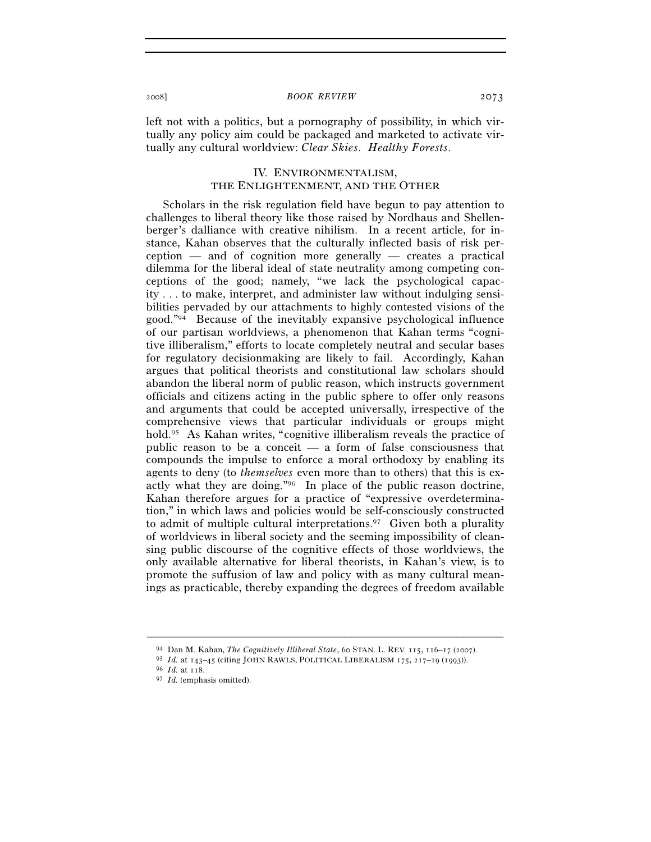left not with a politics, but a pornography of possibility, in which virtually any policy aim could be packaged and marketed to activate virtually any cultural worldview: *Clear Skies*. *Healthy Forests*.

## IV. ENVIRONMENTALISM, THE ENLIGHTENMENT, AND THE OTHER

Scholars in the risk regulation field have begun to pay attention to challenges to liberal theory like those raised by Nordhaus and Shellenberger's dalliance with creative nihilism. In a recent article, for instance, Kahan observes that the culturally inflected basis of risk perception — and of cognition more generally — creates a practical dilemma for the liberal ideal of state neutrality among competing conceptions of the good; namely, "we lack the psychological capacity . . . to make, interpret, and administer law without indulging sensibilities pervaded by our attachments to highly contested visions of the good."94 Because of the inevitably expansive psychological influence of our partisan worldviews, a phenomenon that Kahan terms "cognitive illiberalism," efforts to locate completely neutral and secular bases for regulatory decisionmaking are likely to fail. Accordingly, Kahan argues that political theorists and constitutional law scholars should abandon the liberal norm of public reason, which instructs government officials and citizens acting in the public sphere to offer only reasons and arguments that could be accepted universally, irrespective of the comprehensive views that particular individuals or groups might hold.<sup>95</sup> As Kahan writes, "cognitive illiberalism reveals the practice of public reason to be a conceit  $-$  a form of false consciousness that compounds the impulse to enforce a moral orthodoxy by enabling its agents to deny (to *themselves* even more than to others) that this is exactly what they are doing."96 In place of the public reason doctrine, Kahan therefore argues for a practice of "expressive overdetermination," in which laws and policies would be self-consciously constructed to admit of multiple cultural interpretations.97 Given both a plurality of worldviews in liberal society and the seeming impossibility of cleansing public discourse of the cognitive effects of those worldviews, the only available alternative for liberal theorists, in Kahan's view, is to promote the suffusion of law and policy with as many cultural meanings as practicable, thereby expanding the degrees of freedom available

<sup>94</sup> Dan M. Kahan, *The Cognitively Illiberal State*, 60 STAN. L. REV. 115, 116–17 (2007).

<sup>95</sup> *Id.* at 143–45 (citing JOHN RAWLS, POLITICAL LIBERALISM <sup>175</sup>, 217–19 (1993)). 96 *Id.* at 118. 97 *Id.* (emphasis omitted).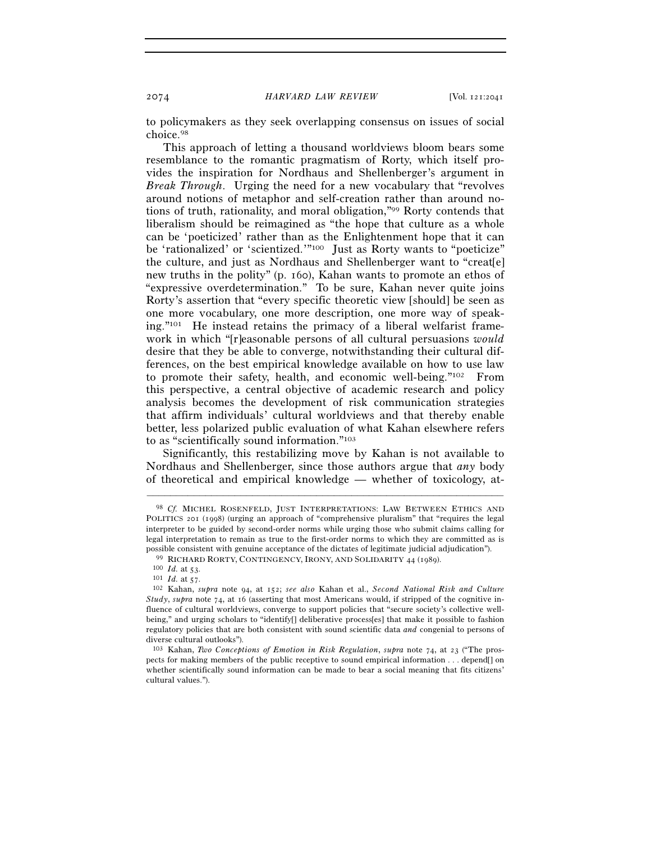to policymakers as they seek overlapping consensus on issues of social choice.98

This approach of letting a thousand worldviews bloom bears some resemblance to the romantic pragmatism of Rorty, which itself provides the inspiration for Nordhaus and Shellenberger's argument in *Break Through*. Urging the need for a new vocabulary that "revolves around notions of metaphor and self-creation rather than around notions of truth, rationality, and moral obligation,"99 Rorty contends that liberalism should be reimagined as "the hope that culture as a whole can be 'poeticized' rather than as the Enlightenment hope that it can be 'rationalized' or 'scientized.'"100 Just as Rorty wants to "poeticize" the culture, and just as Nordhaus and Shellenberger want to "creat[e] new truths in the polity" (p. 160), Kahan wants to promote an ethos of "expressive overdetermination." To be sure, Kahan never quite joins Rorty's assertion that "every specific theoretic view [should] be seen as one more vocabulary, one more description, one more way of speaking. $"101$  He instead retains the primacy of a liberal welfarist framework in which "[r]easonable persons of all cultural persuasions *would* desire that they be able to converge, notwithstanding their cultural differences, on the best empirical knowledge available on how to use law to promote their safety, health, and economic well-being."102 From this perspective, a central objective of academic research and policy analysis becomes the development of risk communication strategies that affirm individuals' cultural worldviews and that thereby enable better, less polarized public evaluation of what Kahan elsewhere refers to as "scientifically sound information."103

Significantly, this restabilizing move by Kahan is not available to Nordhaus and Shellenberger, since those authors argue that *any* body of theoretical and empirical knowledge — whether of toxicology, at-

<sup>98</sup> *Cf.* MICHEL ROSENFELD, JUST INTERPRETATIONS: LAW BETWEEN ETHICS AND POLITICS 201 (1998) (urging an approach of "comprehensive pluralism" that "requires the legal interpreter to be guided by second-order norms while urging those who submit claims calling for legal interpretation to remain as true to the first-order norms to which they are committed as is possible consistent with genuine acceptance of the dictates of legitimate judicial adjudication").<br><sup>99</sup> RICHARD RORTY, CONTINGENCY, IRONY, AND SOLIDARITY 44 (1989).<br><sup>100</sup> *Id.* at 53.<br><sup>101</sup> *Id.* at 57.<br><sup>101</sup> *Id.* at 57.

*Study*, *supra* note 74, at 16 (asserting that most Americans would, if stripped of the cognitive influence of cultural worldviews, converge to support policies that "secure society's collective wellbeing," and urging scholars to "identify[] deliberative process[es] that make it possible to fashion regulatory policies that are both consistent with sound scientific data *and* congenial to persons of diverse cultural outlooks").

<sup>103</sup> Kahan, *Two Conceptions of Emotion in Risk Regulation*, *supra* note 74, at 23 ("The prospects for making members of the public receptive to sound empirical information . . . depend[] on whether scientifically sound information can be made to bear a social meaning that fits citizens' cultural values.").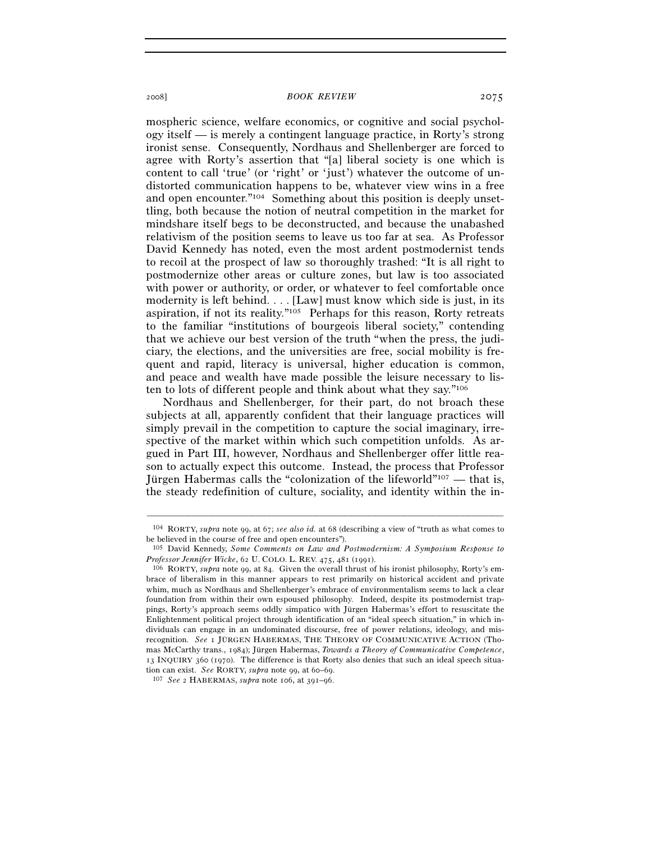mospheric science, welfare economics, or cognitive and social psychology itself — is merely a contingent language practice, in Rorty's strong ironist sense. Consequently, Nordhaus and Shellenberger are forced to agree with Rorty's assertion that "[a] liberal society is one which is content to call 'true' (or 'right' or 'just') whatever the outcome of undistorted communication happens to be, whatever view wins in a free and open encounter."104 Something about this position is deeply unsettling, both because the notion of neutral competition in the market for mindshare itself begs to be deconstructed, and because the unabashed relativism of the position seems to leave us too far at sea. As Professor David Kennedy has noted, even the most ardent postmodernist tends to recoil at the prospect of law so thoroughly trashed: "It is all right to postmodernize other areas or culture zones, but law is too associated with power or authority, or order, or whatever to feel comfortable once modernity is left behind. . . . [Law] must know which side is just, in its aspiration, if not its reality."105 Perhaps for this reason, Rorty retreats to the familiar "institutions of bourgeois liberal society," contending that we achieve our best version of the truth "when the press, the judiciary, the elections, and the universities are free, social mobility is frequent and rapid, literacy is universal, higher education is common, and peace and wealth have made possible the leisure necessary to listen to lots of different people and think about what they say."106

Nordhaus and Shellenberger, for their part, do not broach these subjects at all, apparently confident that their language practices will simply prevail in the competition to capture the social imaginary, irrespective of the market within which such competition unfolds. As argued in Part III, however, Nordhaus and Shellenberger offer little reason to actually expect this outcome. Instead, the process that Professor Jürgen Habermas calls the "colonization of the lifeworld"107 — that is, the steady redefinition of culture, sociality, and identity within the in-

<sup>–––––––––––––––––––––––––––––––––––––––––––––––––––––––––––––</sup> 104 RORTY, *supra* note 99, at 67; *see also id.* at 68 (describing a view of "truth as what comes to be believed in the course of free and open encounters").

<sup>105</sup> David Kennedy, *Some Comments on Law and Postmodernism: A Symposium Response to* 

<sup>&</sup>lt;sup>106</sup> RORTY, *supra* note 99, at 84. Given the overall thrust of his ironist philosophy, Rorty's embrace of liberalism in this manner appears to rest primarily on historical accident and private whim, much as Nordhaus and Shellenberger's embrace of environmentalism seems to lack a clear foundation from within their own espoused philosophy. Indeed, despite its postmodernist trappings, Rorty's approach seems oddly simpatico with Jürgen Habermas's effort to resuscitate the Enlightenment political project through identification of an "ideal speech situation," in which individuals can engage in an undominated discourse, free of power relations, ideology, and misrecognition. *See* 1 JÜRGEN HABERMAS, THE THEORY OF COMMUNICATIVE ACTION (Thomas McCarthy trans., 1984); Jürgen Habermas, *Towards a Theory of Communicative Competence*, 13 INQUIRY 360 (1970). The difference is that Rorty also denies that such an ideal speech situation can exist. *See* RORTY, *supra* note 99, at 60–69. 107 *See* <sup>2</sup> HABERMAS, *supra* note 106, at 391–96.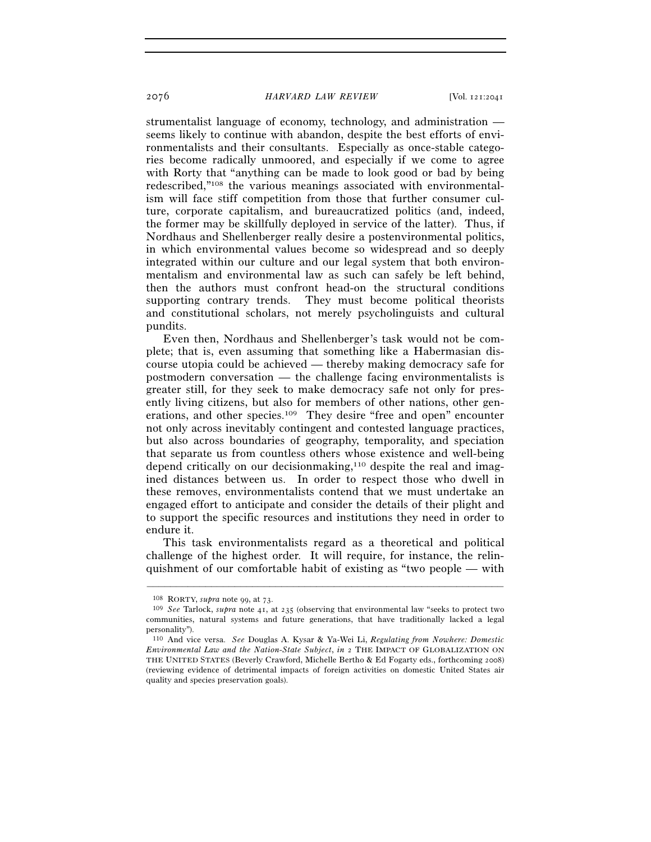strumentalist language of economy, technology, and administration seems likely to continue with abandon, despite the best efforts of environmentalists and their consultants. Especially as once-stable categories become radically unmoored, and especially if we come to agree with Rorty that "anything can be made to look good or bad by being redescribed,"108 the various meanings associated with environmentalism will face stiff competition from those that further consumer culture, corporate capitalism, and bureaucratized politics (and, indeed, the former may be skillfully deployed in service of the latter). Thus, if Nordhaus and Shellenberger really desire a postenvironmental politics, in which environmental values become so widespread and so deeply integrated within our culture and our legal system that both environmentalism and environmental law as such can safely be left behind, then the authors must confront head-on the structural conditions supporting contrary trends. They must become political theorists and constitutional scholars, not merely psycholinguists and cultural pundits.

Even then, Nordhaus and Shellenberger's task would not be complete; that is, even assuming that something like a Habermasian discourse utopia could be achieved — thereby making democracy safe for postmodern conversation — the challenge facing environmentalists is greater still, for they seek to make democracy safe not only for presently living citizens, but also for members of other nations, other generations, and other species.109 They desire "free and open" encounter not only across inevitably contingent and contested language practices, but also across boundaries of geography, temporality, and speciation that separate us from countless others whose existence and well-being depend critically on our decisionmaking,<sup>110</sup> despite the real and imagined distances between us. In order to respect those who dwell in these removes, environmentalists contend that we must undertake an engaged effort to anticipate and consider the details of their plight and to support the specific resources and institutions they need in order to endure it.

This task environmentalists regard as a theoretical and political challenge of the highest order. It will require, for instance, the relinquishment of our comfortable habit of existing as "two people — with

<sup>108</sup> RORTY, *supra* note 99, at 73. 109 *See* Tarlock, *supra* note 41, at 235 (observing that environmental law "seeks to protect two communities, natural systems and future generations, that have traditionally lacked a legal personality").

<sup>110</sup> And vice versa. *See* Douglas A. Kysar & Ya-Wei Li, *Regulating from Nowhere: Domestic Environmental Law and the Nation-State Subject*, *in* 2 THE IMPACT OF GLOBALIZATION ON THE UNITED STATES (Beverly Crawford, Michelle Bertho & Ed Fogarty eds., forthcoming 2008) (reviewing evidence of detrimental impacts of foreign activities on domestic United States air quality and species preservation goals).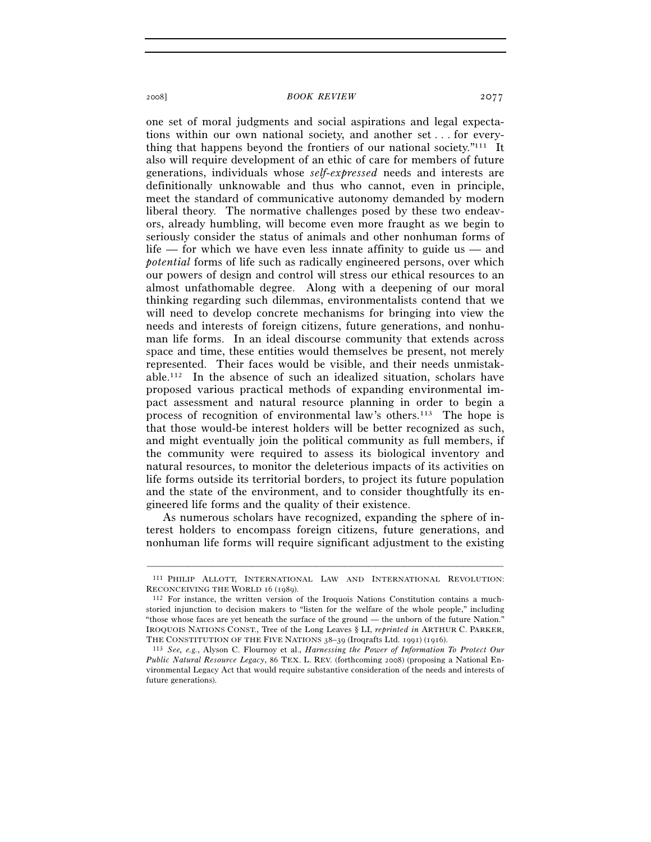one set of moral judgments and social aspirations and legal expectations within our own national society, and another set . . . for everything that happens beyond the frontiers of our national society."111 It also will require development of an ethic of care for members of future generations, individuals whose *self-expressed* needs and interests are definitionally unknowable and thus who cannot, even in principle, meet the standard of communicative autonomy demanded by modern liberal theory. The normative challenges posed by these two endeavors, already humbling, will become even more fraught as we begin to seriously consider the status of animals and other nonhuman forms of life — for which we have even less innate affinity to guide us — and *potential* forms of life such as radically engineered persons, over which our powers of design and control will stress our ethical resources to an almost unfathomable degree. Along with a deepening of our moral thinking regarding such dilemmas, environmentalists contend that we will need to develop concrete mechanisms for bringing into view the needs and interests of foreign citizens, future generations, and nonhuman life forms. In an ideal discourse community that extends across space and time, these entities would themselves be present, not merely represented. Their faces would be visible, and their needs unmistakable.112 In the absence of such an idealized situation, scholars have proposed various practical methods of expanding environmental impact assessment and natural resource planning in order to begin a process of recognition of environmental law's others.113 The hope is that those would-be interest holders will be better recognized as such, and might eventually join the political community as full members, if the community were required to assess its biological inventory and natural resources, to monitor the deleterious impacts of its activities on life forms outside its territorial borders, to project its future population and the state of the environment, and to consider thoughtfully its engineered life forms and the quality of their existence.

As numerous scholars have recognized, expanding the sphere of interest holders to encompass foreign citizens, future generations, and nonhuman life forms will require significant adjustment to the existing

<sup>–––––––––––––––––––––––––––––––––––––––––––––––––––––––––––––</sup> 111 PHILIP ALLOTT, INTERNATIONAL LAW AND INTERNATIONAL REVOLUTION: RECONCEIVING THE WORLD 16 (1989).<br><sup>112</sup> For instance, the written version of the Iroquois Nations Constitution contains a much-

storied injunction to decision makers to "listen for the welfare of the whole people," including "those whose faces are yet beneath the surface of the ground — the unborn of the future Nation." IROQUOIS NATIONS CONST., Tree of the Long Leaves § LI, *reprinted in* ARTHUR C. PARKER, THE CONSTITUTION OF THE FIVE NATIONS <sup>38</sup>–39 (Iroqrafts Ltd. 1991) (1916). 113 *See, e.g.*, Alyson C. Flournoy et al., *Harnessing the Power of Information To Protect Our* 

*Public Natural Resource Legacy*, 86 TEX. L. REV. (forthcoming 2008) (proposing a National Environmental Legacy Act that would require substantive consideration of the needs and interests of future generations).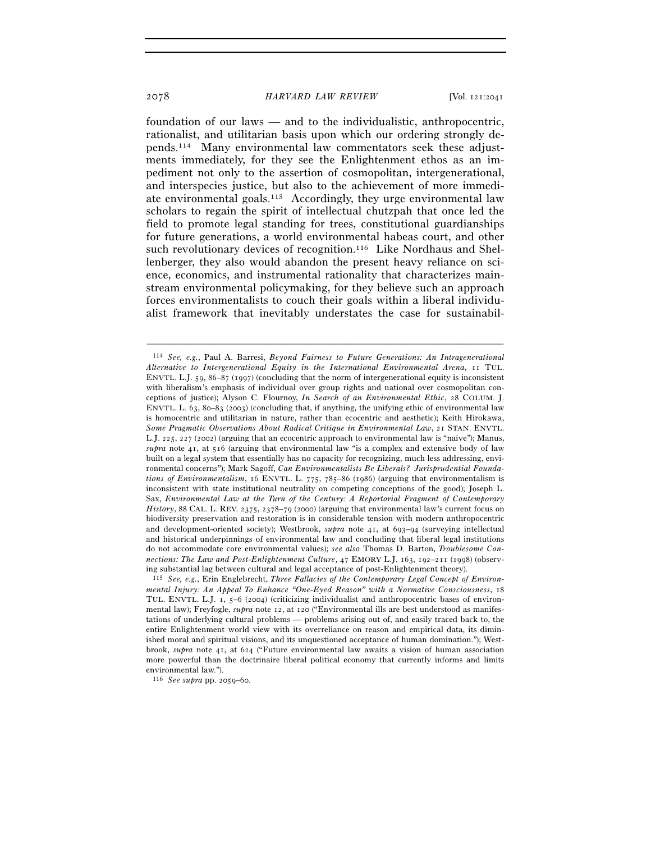foundation of our laws — and to the individualistic, anthropocentric, rationalist, and utilitarian basis upon which our ordering strongly depends.114 Many environmental law commentators seek these adjustments immediately, for they see the Enlightenment ethos as an impediment not only to the assertion of cosmopolitan, intergenerational, and interspecies justice, but also to the achievement of more immediate environmental goals.115 Accordingly, they urge environmental law scholars to regain the spirit of intellectual chutzpah that once led the field to promote legal standing for trees, constitutional guardianships for future generations, a world environmental habeas court, and other such revolutionary devices of recognition.116 Like Nordhaus and Shellenberger, they also would abandon the present heavy reliance on science, economics, and instrumental rationality that characterizes mainstream environmental policymaking, for they believe such an approach forces environmentalists to couch their goals within a liberal individualist framework that inevitably understates the case for sustainabil-

–––––––––––––––––––––––––––––––––––––––––––––––––––––––––––––

116 *See supra* pp. 2059–60.

<sup>114</sup> *See, e.g.*, Paul A. Barresi, *Beyond Fairness to Future Generations: An Intragenerational Alternative to Intergenerational Equity in the International Environmental Arena*, 11 TUL. ENVTL. L.J. 59, 86–87 (1997) (concluding that the norm of intergenerational equity is inconsistent with liberalism's emphasis of individual over group rights and national over cosmopolitan conceptions of justice); Alyson C. Flournoy, *In Search of an Environmental Ethic*, 28 COLUM. J. ENVTL. L. 63, 80–83 (2003) (concluding that, if anything, the unifying ethic of environmental law is homocentric and utilitarian in nature, rather than ecocentric and aesthetic); Keith Hirokawa, *Some Pragmatic Observations About Radical Critique in Environmental Law*, 21 STAN. ENVTL. L.J. 225, 227 (2002) (arguing that an ecocentric approach to environmental law is "naïve"); Manus, *supra* note 41, at 516 (arguing that environmental law "is a complex and extensive body of law built on a legal system that essentially has no capacity for recognizing, much less addressing, environmental concerns"); Mark Sagoff, *Can Environmentalists Be Liberals? Jurisprudential Foundations of Environmentalism*, 16 ENVTL. L. 775, 785–86 (1986) (arguing that environmentalism is inconsistent with state institutional neutrality on competing conceptions of the good); Joseph L. Sax, *Environmental Law at the Turn of the Century: A Reportorial Fragment of Contemporary History*, 88 CAL. L. REV. 2375, 2378–79 (2000) (arguing that environmental law's current focus on biodiversity preservation and restoration is in considerable tension with modern anthropocentric and development-oriented society); Westbrook, *supra* note 41, at 693–94 (surveying intellectual and historical underpinnings of environmental law and concluding that liberal legal institutions do not accommodate core environmental values); *see also* Thomas D. Barton, *Troublesome Connections: The Law and Post-Enlightenment Culture*, 47 EMORY L.J. 163, 192–211 (1998) (observing substantial lag between cultural and legal acceptance of post-Enlightenment theory). 115 *See, e.g.*, Erin Englebrecht, *Three Fallacies of the Contemporary Legal Concept of Environ-*

*mental Injury: An Appeal To Enhance "One-Eyed Reason" with a Normative Consciousness*, 18 TUL. ENVTL. L.J. 1, 5–6 (2004) (criticizing individualist and anthropocentric bases of environmental law); Freyfogle, *supra* note 12, at 120 ("Environmental ills are best understood as manifestations of underlying cultural problems — problems arising out of, and easily traced back to, the entire Enlightenment world view with its overreliance on reason and empirical data, its diminished moral and spiritual visions, and its unquestioned acceptance of human domination."); Westbrook, *supra* note 41, at 624 ("Future environmental law awaits a vision of human association more powerful than the doctrinaire liberal political economy that currently informs and limits environmental law.").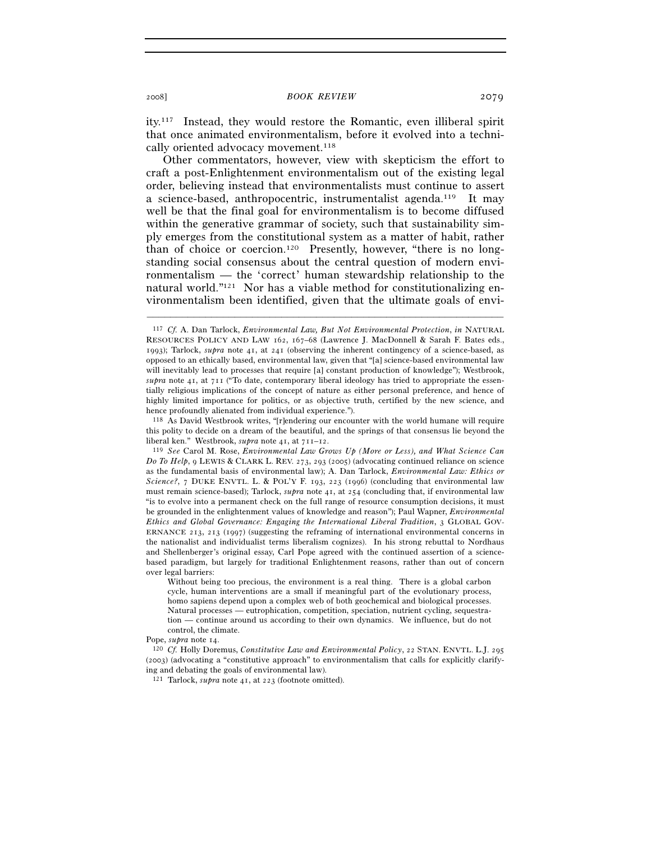ity.117 Instead, they would restore the Romantic, even illiberal spirit that once animated environmentalism, before it evolved into a technically oriented advocacy movement.<sup>118</sup>

Other commentators, however, view with skepticism the effort to craft a post-Enlightenment environmentalism out of the existing legal order, believing instead that environmentalists must continue to assert a science-based, anthropocentric, instrumentalist agenda.119 It may well be that the final goal for environmentalism is to become diffused within the generative grammar of society, such that sustainability simply emerges from the constitutional system as a matter of habit, rather than of choice or coercion.120 Presently, however, "there is no longstanding social consensus about the central question of modern environmentalism — the 'correct' human stewardship relationship to the natural world."121 Nor has a viable method for constitutionalizing environmentalism been identified, given that the ultimate goals of envi-

<sup>117</sup> *Cf.* A. Dan Tarlock, *Environmental Law, But Not Environmental Protection*, *in* NATURAL RESOURCES POLICY AND LAW 162, 167–68 (Lawrence J. MacDonnell & Sarah F. Bates eds., 1993); Tarlock, *supra* note 41, at 241 (observing the inherent contingency of a science-based, as opposed to an ethically based, environmental law, given that "[a] science-based environmental law will inevitably lead to processes that require [a] constant production of knowledge"); Westbrook, *supra* note 41, at 711 ("To date, contemporary liberal ideology has tried to appropriate the essentially religious implications of the concept of nature as either personal preference, and hence of highly limited importance for politics, or as objective truth, certified by the new science, and hence profoundly alienated from individual experience.").

<sup>118</sup> As David Westbrook writes, "[r]endering our encounter with the world humane will require this polity to decide on a dream of the beautiful, and the springs of that consensus lie beyond the liberal ken." Westbrook,  $\text{supra}$  note 41, at  $711-12$ .

<sup>&</sup>lt;sup>119</sup> See Carol M. Rose, *Environmental Law Grows Up (More or Less), and What Science Can Do To Help*, 9 LEWIS & CLARK L. REV. 273, 293 (2005) (advocating continued reliance on science as the fundamental basis of environmental law); A. Dan Tarlock, *Environmental Law: Ethics or Science?*, 7 DUKE ENVTL. L. & POL'Y F. 193, 223 (1996) (concluding that environmental law must remain science-based); Tarlock, *supra* note 41, at 254 (concluding that, if environmental law "is to evolve into a permanent check on the full range of resource consumption decisions, it must be grounded in the enlightenment values of knowledge and reason"); Paul Wapner, *Environmental Ethics and Global Governance: Engaging the International Liberal Tradition*, 3 GLOBAL GOV-ERNANCE 213, 213 (1997) (suggesting the reframing of international environmental concerns in the nationalist and individualist terms liberalism cognizes). In his strong rebuttal to Nordhaus and Shellenberger's original essay, Carl Pope agreed with the continued assertion of a sciencebased paradigm, but largely for traditional Enlightenment reasons, rather than out of concern over legal barriers:

Without being too precious, the environment is a real thing. There is a global carbon cycle, human interventions are a small if meaningful part of the evolutionary process, homo sapiens depend upon a complex web of both geochemical and biological processes. Natural processes — eutrophication, competition, speciation, nutrient cycling, sequestration — continue around us according to their own dynamics. We influence, but do not control, the climate.

Pope, *supra* note 14. 120 *Cf.* Holly Doremus, *Constitutive Law and Environmental Policy*, 22 STAN. ENVTL. L.J. <sup>295</sup> (2003) (advocating a "constitutive approach" to environmentalism that calls for explicitly clarifying and debating the goals of environmental law).

<sup>121</sup> Tarlock, *supra* note 41, at 223 (footnote omitted).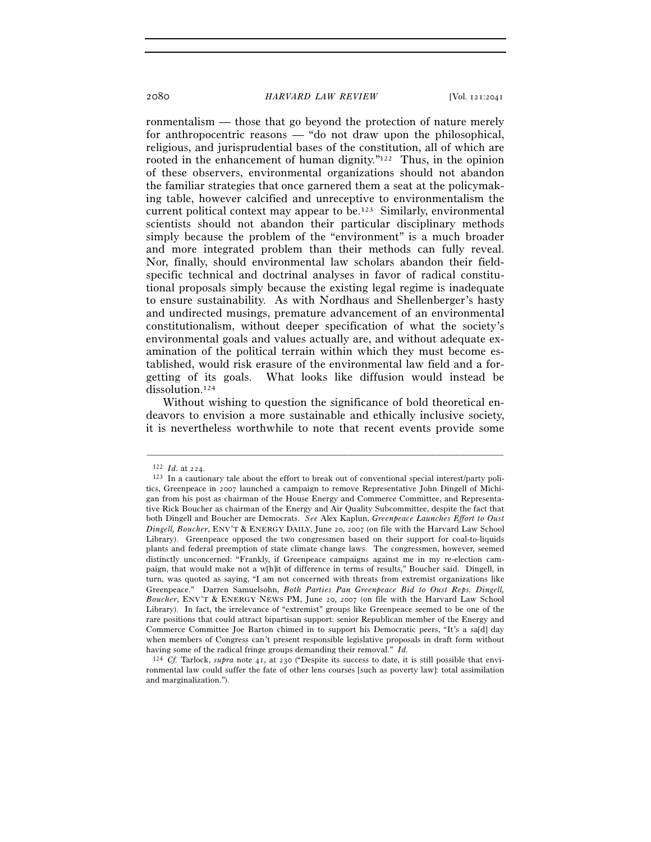ronmentalism — those that go beyond the protection of nature merely for anthropocentric reasons — "do not draw upon the philosophical, religious, and jurisprudential bases of the constitution, all of which are rooted in the enhancement of human dignity."<sup>122</sup> Thus, in the opinion of these observers, environmental organizations should not abandon the familiar strategies that once garnered them a seat at the policymaking table, however calcified and unreceptive to environmentalism the current political context may appear to be.123 Similarly, environmental scientists should not abandon their particular disciplinary methods simply because the problem of the "environment" is a much broader and more integrated problem than their methods can fully reveal. Nor, finally, should environmental law scholars abandon their fieldspecific technical and doctrinal analyses in favor of radical constitutional proposals simply because the existing legal regime is inadequate to ensure sustainability. As with Nordhaus and Shellenberger's hasty and undirected musings, premature advancement of an environmental constitutionalism, without deeper specification of what the society's environmental goals and values actually are, and without adequate examination of the political terrain within which they must become established, would risk erasure of the environmental law field and a forgetting of its goals. What looks like diffusion would instead be dissolution.<sup>124</sup>

Without wishing to question the significance of bold theoretical endeavors to envision a more sustainable and ethically inclusive society, it is nevertheless worthwhile to note that recent events provide some

<sup>&</sup>lt;sup>122</sup> *Id.* at 224.<br><sup>123</sup> In a cautionary tale about the effort to break out of conventional special interest/party politics, Greenpeace in 2007 launched a campaign to remove Representative John Dingell of Michigan from his post as chairman of the House Energy and Commerce Committee, and Representative Rick Boucher as chairman of the Energy and Air Quality Subcommittee, despite the fact that both Dingell and Boucher are Democrats. *See* Alex Kaplun, *Greenpeace Launches Effort to Oust Dingell, Boucher*, ENV'T & ENERGY DAILY, June 20, 2007 (on file with the Harvard Law School Library). Greenpeace opposed the two congressmen based on their support for coal-to-liquids plants and federal preemption of state climate change laws. The congressmen, however, seemed distinctly unconcerned: "Frankly, if Greenpeace campaigns against me in my re-election campaign, that would make not a w[h]it of difference in terms of results," Boucher said. Dingell, in turn, was quoted as saying, "I am not concerned with threats from extremist organizations like Greenpeace." Darren Samuelsohn, *Both Parties Pan Greenpeace Bid to Oust Reps. Dingell, Boucher*, ENV'T & ENERGY NEWS PM, June 20, 2007 (on file with the Harvard Law School Library). In fact, the irrelevance of "extremist" groups like Greenpeace seemed to be one of the rare positions that could attract bipartisan support: senior Republican member of the Energy and Commerce Committee Joe Barton chimed in to support his Democratic peers, "It's a sa[d] day when members of Congress can't present responsible legislative proposals in draft form without having some of the radical fringe groups demanding their removal." *Id.*

<sup>&</sup>lt;sup>124</sup> *Cf.* Tarlock, *supra* note 41, at 230 ("Despite its success to date, it is still possible that environmental law could suffer the fate of other lens courses [such as poverty law]: total assimilation and marginalization.").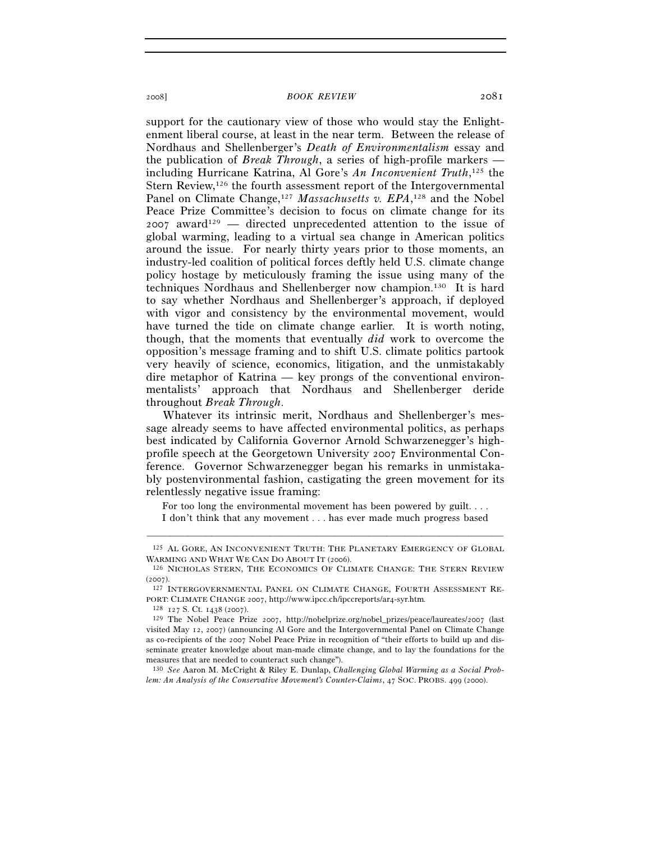support for the cautionary view of those who would stay the Enlightenment liberal course, at least in the near term. Between the release of Nordhaus and Shellenberger's *Death of Environmentalism* essay and the publication of *Break Through*, a series of high-profile markers including Hurricane Katrina, Al Gore's *An Inconvenient Truth*, 125 the Stern Review,<sup>126</sup> the fourth assessment report of the Intergovernmental Panel on Climate Change,<sup>127</sup> Massachusetts v. EPA,<sup>128</sup> and the Nobel Peace Prize Committee's decision to focus on climate change for its  $2007$  award<sup>129</sup> — directed unprecedented attention to the issue of global warming, leading to a virtual sea change in American politics around the issue. For nearly thirty years prior to those moments, an industry-led coalition of political forces deftly held U.S. climate change policy hostage by meticulously framing the issue using many of the techniques Nordhaus and Shellenberger now champion.130 It is hard to say whether Nordhaus and Shellenberger's approach, if deployed with vigor and consistency by the environmental movement, would have turned the tide on climate change earlier. It is worth noting, though, that the moments that eventually *did* work to overcome the opposition's message framing and to shift U.S. climate politics partook very heavily of science, economics, litigation, and the unmistakably dire metaphor of Katrina — key prongs of the conventional environmentalists' approach that Nordhaus and Shellenberger deride throughout *Break Through*.

Whatever its intrinsic merit, Nordhaus and Shellenberger's message already seems to have affected environmental politics, as perhaps best indicated by California Governor Arnold Schwarzenegger's highprofile speech at the Georgetown University 2007 Environmental Conference. Governor Schwarzenegger began his remarks in unmistakably postenvironmental fashion, castigating the green movement for its relentlessly negative issue framing:

For too long the environmental movement has been powered by guilt. . . . I don't think that any movement . . . has ever made much progress based

130 *See* Aaron M. McCright & Riley E. Dunlap, *Challenging Global Warming as a Social Problem: An Analysis of the Conservative Movement's Counter-Claims*, 47 SOC. PROBS. 499 (2000).

<sup>–––––––––––––––––––––––––––––––––––––––––––––––––––––––––––––</sup>  $^{125}$  AL GORE, AN INCONVENIENT TRUTH: THE PLANETARY EMERGENCY OF GLOBAL WARMING AND WHAT WE CAN DO ABOUT IT (2006).

<sup>126</sup> NICHOLAS STERN, THE ECONOMICS OF CLIMATE CHANGE: THE STERN REVIEW

<sup>(2007).&</sup>lt;br><sup>127</sup> INTERGOVERNMENTAL PANEL ON CLIMATE CHANGE, FOURTH ASSESSMENT RE-PORT: CLIMATE CHANGE 2007, http://www.ipcc.ch/ipccreports/ar4-syr.htm*.*

<sup>128</sup> <sup>127</sup> S. Ct. 1438 (2007). 129 The Nobel Peace Prize 2007, http://nobelprize.org/nobel\_prizes/peace/laureates/2007 (last visited May 12, 2007) (announcing Al Gore and the Intergovernmental Panel on Climate Change as co-recipients of the 2007 Nobel Peace Prize in recognition of "their efforts to build up and disseminate greater knowledge about man-made climate change, and to lay the foundations for the measures that are needed to counteract such change").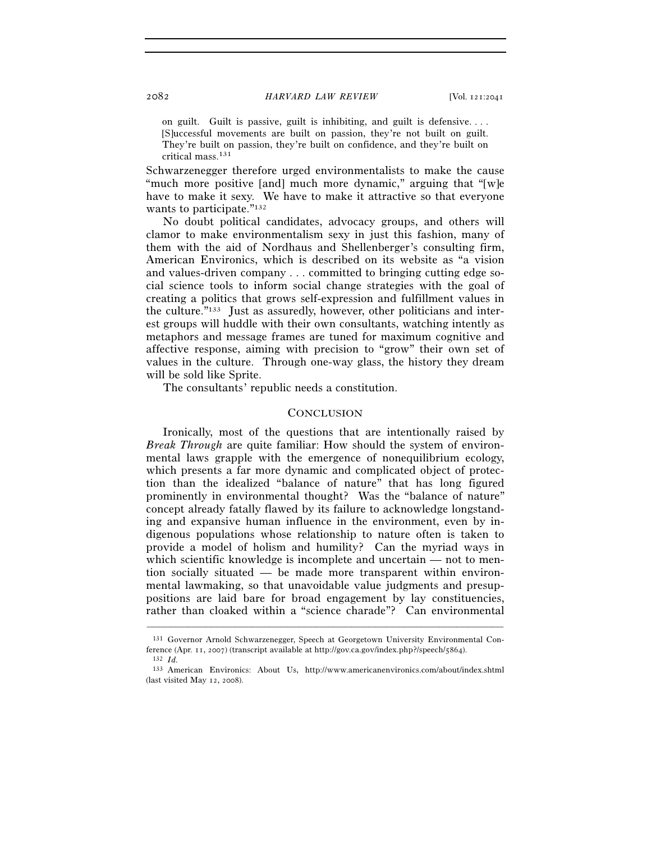on guilt. Guilt is passive, guilt is inhibiting, and guilt is defensive. . . . [S]uccessful movements are built on passion, they're not built on guilt. They're built on passion, they're built on confidence, and they're built on critical mass.131

Schwarzenegger therefore urged environmentalists to make the cause "much more positive [and] much more dynamic," arguing that "[w]e have to make it sexy. We have to make it attractive so that everyone wants to participate."<sup>132</sup>

No doubt political candidates, advocacy groups, and others will clamor to make environmentalism sexy in just this fashion, many of them with the aid of Nordhaus and Shellenberger's consulting firm, American Environics, which is described on its website as "a vision and values-driven company . . . committed to bringing cutting edge social science tools to inform social change strategies with the goal of creating a politics that grows self-expression and fulfillment values in the culture."133 Just as assuredly, however, other politicians and interest groups will huddle with their own consultants, watching intently as metaphors and message frames are tuned for maximum cognitive and affective response, aiming with precision to "grow" their own set of values in the culture. Through one-way glass, the history they dream will be sold like Sprite.

The consultants' republic needs a constitution.

## **CONCLUSION**

Ironically, most of the questions that are intentionally raised by *Break Through* are quite familiar: How should the system of environmental laws grapple with the emergence of nonequilibrium ecology, which presents a far more dynamic and complicated object of protection than the idealized "balance of nature" that has long figured prominently in environmental thought? Was the "balance of nature" concept already fatally flawed by its failure to acknowledge longstanding and expansive human influence in the environment, even by indigenous populations whose relationship to nature often is taken to provide a model of holism and humility? Can the myriad ways in which scientific knowledge is incomplete and uncertain — not to mention socially situated — be made more transparent within environmental lawmaking, so that unavoidable value judgments and presuppositions are laid bare for broad engagement by lay constituencies, rather than cloaked within a "science charade"? Can environmental

<sup>131</sup> Governor Arnold Schwarzenegger, Speech at Georgetown University Environmental Conference (Apr. 11, 2007) (transcript available at http://gov.ca.gov/index.php?/speech/5864). 132 *Id.*

<sup>133</sup> American Environics: About Us, http://www.americanenvironics.com/about/index.shtml (last visited May 12, 2008).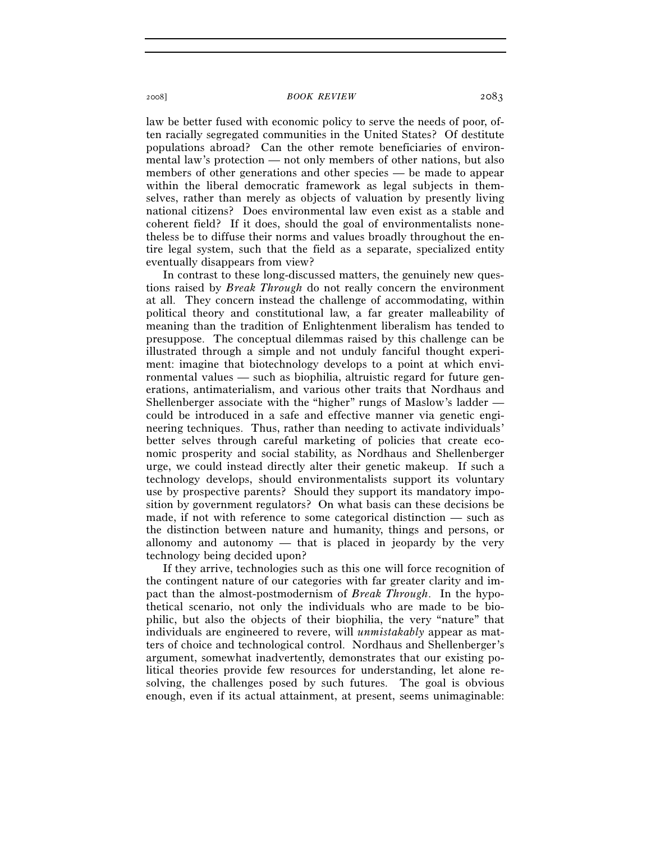law be better fused with economic policy to serve the needs of poor, often racially segregated communities in the United States? Of destitute populations abroad? Can the other remote beneficiaries of environmental law's protection — not only members of other nations, but also members of other generations and other species — be made to appear within the liberal democratic framework as legal subjects in themselves, rather than merely as objects of valuation by presently living national citizens? Does environmental law even exist as a stable and coherent field? If it does, should the goal of environmentalists nonetheless be to diffuse their norms and values broadly throughout the entire legal system, such that the field as a separate, specialized entity eventually disappears from view?

In contrast to these long-discussed matters, the genuinely new questions raised by *Break Through* do not really concern the environment at all. They concern instead the challenge of accommodating, within political theory and constitutional law, a far greater malleability of meaning than the tradition of Enlightenment liberalism has tended to presuppose. The conceptual dilemmas raised by this challenge can be illustrated through a simple and not unduly fanciful thought experiment: imagine that biotechnology develops to a point at which environmental values — such as biophilia, altruistic regard for future generations, antimaterialism, and various other traits that Nordhaus and Shellenberger associate with the "higher" rungs of Maslow's ladder could be introduced in a safe and effective manner via genetic engineering techniques. Thus, rather than needing to activate individuals' better selves through careful marketing of policies that create economic prosperity and social stability, as Nordhaus and Shellenberger urge, we could instead directly alter their genetic makeup. If such a technology develops, should environmentalists support its voluntary use by prospective parents? Should they support its mandatory imposition by government regulators? On what basis can these decisions be made, if not with reference to some categorical distinction — such as the distinction between nature and humanity, things and persons, or allonomy and autonomy — that is placed in jeopardy by the very technology being decided upon?

If they arrive, technologies such as this one will force recognition of the contingent nature of our categories with far greater clarity and impact than the almost-postmodernism of *Break Through*. In the hypothetical scenario, not only the individuals who are made to be biophilic, but also the objects of their biophilia, the very "nature" that individuals are engineered to revere, will *unmistakably* appear as matters of choice and technological control. Nordhaus and Shellenberger's argument, somewhat inadvertently, demonstrates that our existing political theories provide few resources for understanding, let alone resolving, the challenges posed by such futures. The goal is obvious enough, even if its actual attainment, at present, seems unimaginable: